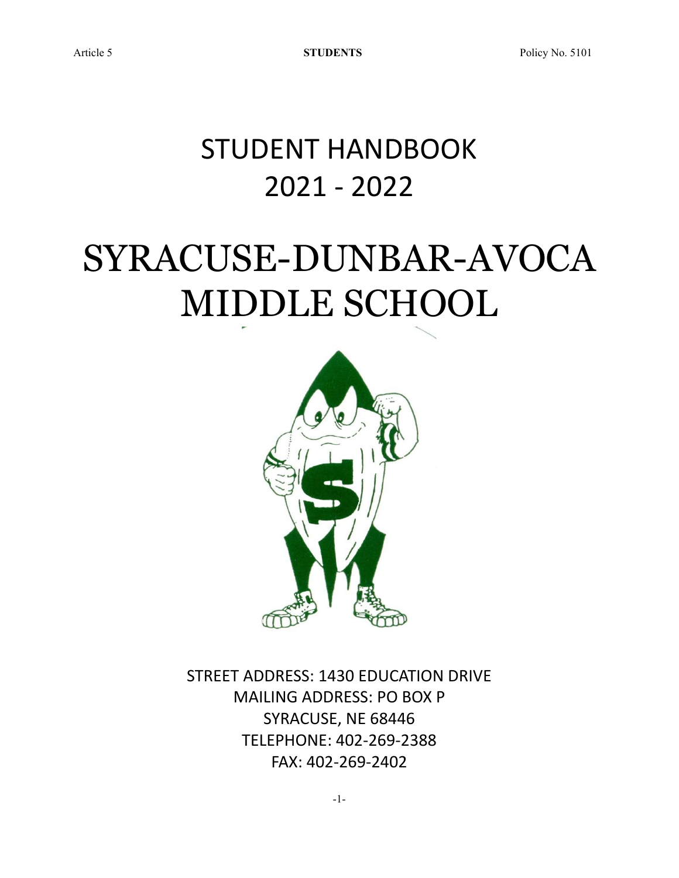## STUDENT HANDBOOK 2021 - 2022

# SYRACUSE-DUNBAR-AVOCA MIDDLE SCHOOL



STREET ADDRESS: 1430 EDUCATION DRIVE MAILING ADDRESS: PO BOX P SYRACUSE, NE 68446 TELEPHONE: 402-269-2388 FAX: 402-269-2402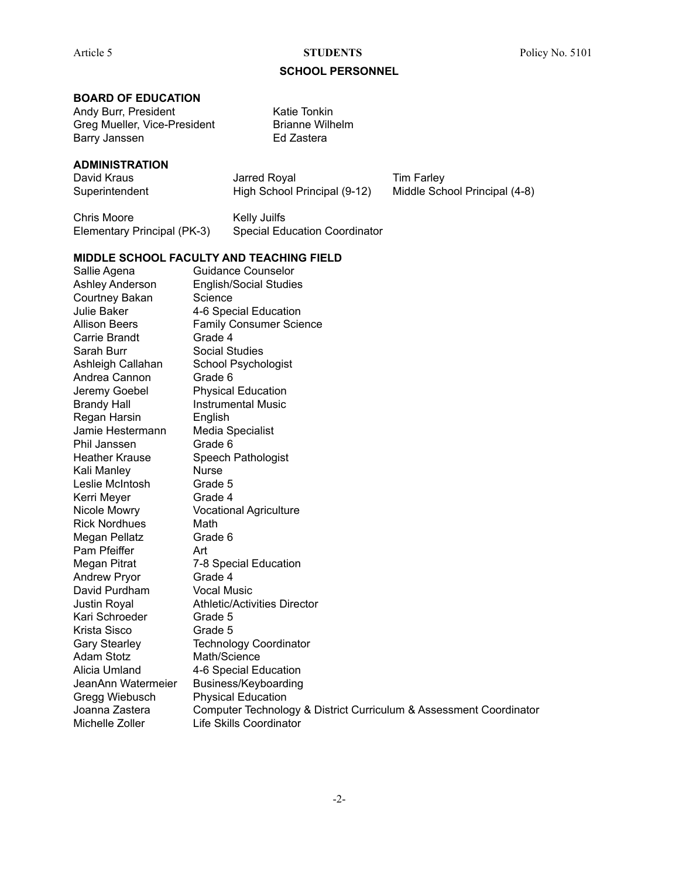#### **SCHOOL PERSONNEL**

#### **BOARD OF EDUCATION**

Andy Burr, President Katie Tonkin Greg Mueller, Vice-President Brianne Wilhelm Barry Janssen **Ed Zastera** 

**ADMINISTRATION**

David Kraus **David Kraus** Jarred Royal **Tim Farley** Superintendent High School Principal (9-12) Middle School Principal (4-8)

Chris Moore **Kelly Juilfs** Elementary Principal (PK-3) Special Education Coordinator

#### **MIDDLE SCHOOL FACULTY AND TEACHING FIELD**

Sallie Agena Guidance Counselor Ashley Anderson English/Social Studies Courtney Bakan Science Julie Baker 4-6 Special Education Allison Beers Family Consumer Science Carrie Brandt Grade 4 Sarah Burr Social Studies Ashleigh Callahan School Psychologist Andrea Cannon Grade 6 Jeremy Goebel Physical Education Brandy Hall **Instrumental Music** Regan Harsin English Jamie Hestermann Media Specialist Phil Janssen Grade 6 Heather Krause Speech Pathologist Kali Manley Nurse Leslie McIntosh Grade 5 Kerri Meyer Grade 4 Nicole Mowry Vocational Agriculture Rick Nordhues Math Megan Pellatz **Grade 6** Pam Pfeiffer **Art** Megan Pitrat 7-8 Special Education Andrew Pryor Grade 4 David Purdham Vocal Music Justin Royal Athletic/Activities Director Kari Schroeder Grade 5 Krista Sisco Grade 5 Gary Stearley Technology Coordinator Adam Stotz Math/Science Alicia Umland 4-6 Special Education JeanAnn Watermeier Business/Keyboarding Gregg Wiebusch Physical Education Joanna Zastera Computer Technology & District Curriculum & Assessment Coordinator Michelle Zoller Life Skills Coordinator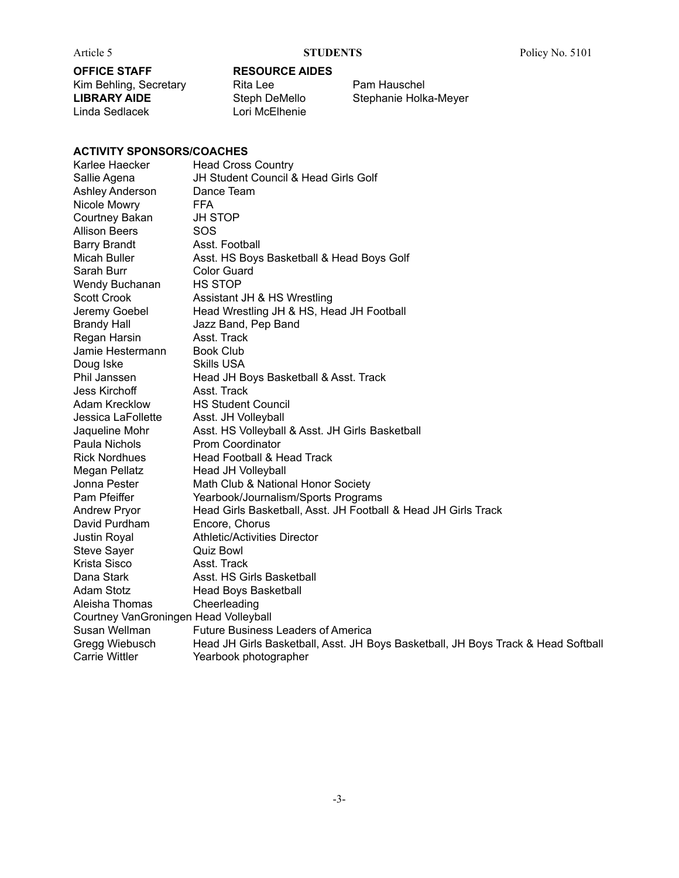### **OFFICE STAFF RESOURCE AIDES** Kim Behling, Secretary Rita Lee Pam Hauschel<br>
LIBRARY AIDE Steph DeMello Stephanie Holk Linda Sedlacek

**Steph DeMello** Stephanie Holka-Meyer<br>
Lori McElhenie

### **ACTIVITY SPONSORS/COACHES**

| Karlee Haecker                        | <b>Head Cross Country</b>                                                         |
|---------------------------------------|-----------------------------------------------------------------------------------|
| Sallie Agena                          | JH Student Council & Head Girls Golf                                              |
| Ashley Anderson                       | Dance Team                                                                        |
| Nicole Mowry                          | <b>FFA</b>                                                                        |
| Courtney Bakan                        | <b>JH STOP</b>                                                                    |
| <b>Allison Beers</b>                  | SOS                                                                               |
| <b>Barry Brandt</b>                   | Asst. Football                                                                    |
| Micah Buller                          | Asst. HS Boys Basketball & Head Boys Golf                                         |
| Sarah Burr                            | <b>Color Guard</b>                                                                |
| Wendy Buchanan                        | <b>HS STOP</b>                                                                    |
| <b>Scott Crook</b>                    | Assistant JH & HS Wrestling                                                       |
| Jeremy Goebel                         | Head Wrestling JH & HS, Head JH Football                                          |
| <b>Brandy Hall</b>                    | Jazz Band, Pep Band                                                               |
| Regan Harsin                          | Asst. Track                                                                       |
| Jamie Hestermann                      | <b>Book Club</b>                                                                  |
| Doug Iske                             | <b>Skills USA</b>                                                                 |
| Phil Janssen                          | Head JH Boys Basketball & Asst. Track                                             |
| Jess Kirchoff                         | Asst. Track                                                                       |
| <b>Adam Krecklow</b>                  | <b>HS Student Council</b>                                                         |
| Jessica LaFollette                    | Asst. JH Volleyball                                                               |
| Jaqueline Mohr                        | Asst. HS Volleyball & Asst. JH Girls Basketball                                   |
| Paula Nichols                         | Prom Coordinator                                                                  |
| <b>Rick Nordhues</b>                  | Head Football & Head Track                                                        |
| Megan Pellatz                         | Head JH Volleyball                                                                |
| Jonna Pester                          | Math Club & National Honor Society                                                |
| Pam Pfeiffer                          | Yearbook/Journalism/Sports Programs                                               |
| <b>Andrew Pryor</b>                   | Head Girls Basketball, Asst. JH Football & Head JH Girls Track                    |
| David Purdham                         | Encore, Chorus                                                                    |
| Justin Royal                          | <b>Athletic/Activities Director</b>                                               |
| <b>Steve Sayer</b>                    | Quiz Bowl                                                                         |
| Krista Sisco                          | Asst. Track                                                                       |
| Dana Stark                            | Asst. HS Girls Basketball                                                         |
| Adam Stotz                            | <b>Head Boys Basketball</b>                                                       |
| Aleisha Thomas                        | Cheerleading                                                                      |
| Courtney VanGroningen Head Volleyball |                                                                                   |
| Susan Wellman                         | Future Business Leaders of America                                                |
| Gregg Wiebusch                        | Head JH Girls Basketball, Asst. JH Boys Basketball, JH Boys Track & Head Softball |
| <b>Carrie Wittler</b>                 | Yearbook photographer                                                             |
|                                       |                                                                                   |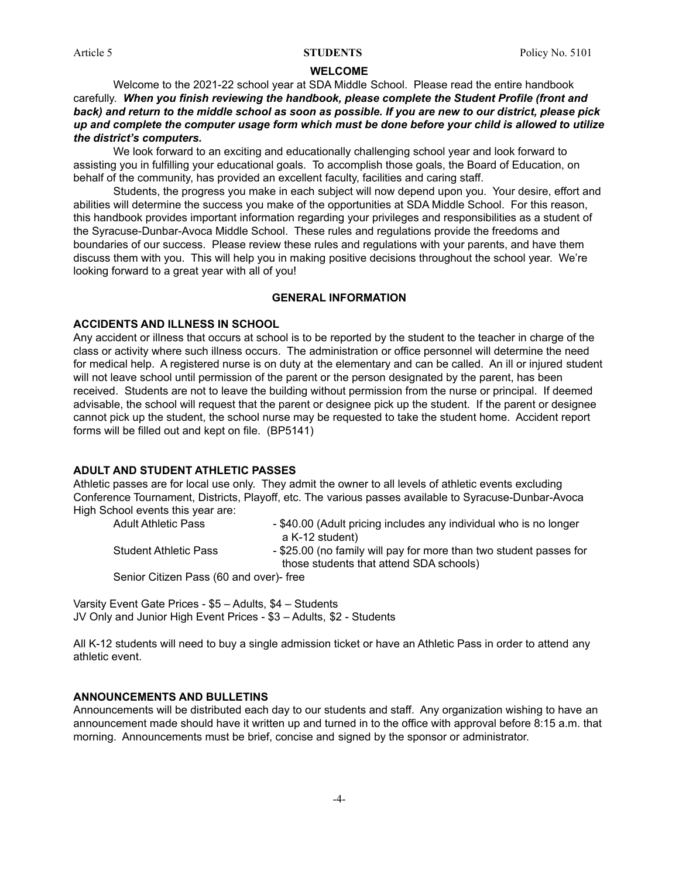#### **WELCOME**

Welcome to the 2021-22 school year at SDA Middle School. Please read the entire handbook carefully. *When you finish reviewing the handbook, please complete the Student Profile (front and* back) and return to the middle school as soon as possible. If you are new to our district, please pick *up and complete the computer usage form which must be done before your child is allowed to utilize the district's computers.*

We look forward to an exciting and educationally challenging school year and look forward to assisting you in fulfilling your educational goals. To accomplish those goals, the Board of Education, on behalf of the community, has provided an excellent faculty, facilities and caring staff.

Students, the progress you make in each subject will now depend upon you. Your desire, effort and abilities will determine the success you make of the opportunities at SDA Middle School. For this reason, this handbook provides important information regarding your privileges and responsibilities as a student of the Syracuse-Dunbar-Avoca Middle School. These rules and regulations provide the freedoms and boundaries of our success. Please review these rules and regulations with your parents, and have them discuss them with you. This will help you in making positive decisions throughout the school year. We're looking forward to a great year with all of you!

#### **GENERAL INFORMATION**

#### **ACCIDENTS AND ILLNESS IN SCHOOL**

Any accident or illness that occurs at school is to be reported by the student to the teacher in charge of the class or activity where such illness occurs. The administration or office personnel will determine the need for medical help. A registered nurse is on duty at the elementary and can be called. An ill or injured student will not leave school until permission of the parent or the person designated by the parent, has been received. Students are not to leave the building without permission from the nurse or principal. If deemed advisable, the school will request that the parent or designee pick up the student. If the parent or designee cannot pick up the student, the school nurse may be requested to take the student home. Accident report forms will be filled out and kept on file. (BP5141)

#### **ADULT AND STUDENT ATHLETIC PASSES**

Athletic passes are for local use only. They admit the owner to all levels of athletic events excluding Conference Tournament, Districts, Playoff, etc. The various passes available to Syracuse-Dunbar-Avoca High School events this year are:

Adult Athletic Pass - \$40.00 (Adult pricing includes any individual who is no longer a K-12 student) Student Athletic Pass - \$25.00 (no family will pay for more than two student passes for those students that attend SDA schools)

Senior Citizen Pass (60 and over)- free

Varsity Event Gate Prices - \$5 – Adults, \$4 – Students JV Only and Junior High Event Prices - \$3 – Adults, \$2 - Students

All K-12 students will need to buy a single admission ticket or have an Athletic Pass in order to attend any athletic event.

#### **ANNOUNCEMENTS AND BULLETINS**

Announcements will be distributed each day to our students and staff. Any organization wishing to have an announcement made should have it written up and turned in to the office with approval before 8:15 a.m. that morning. Announcements must be brief, concise and signed by the sponsor or administrator.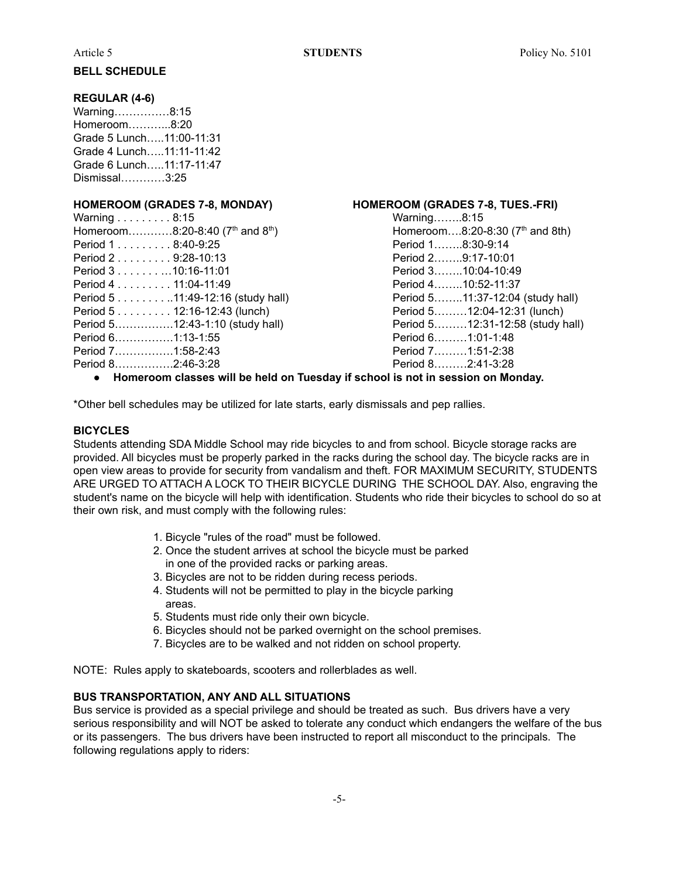#### **BELL SCHEDULE**

#### **REGULAR (4-6)**

Warning……………8:15 Homeroom………...8:20 Grade 5 Lunch…..11:00-11:31 Grade 4 Lunch…..11:11-11:42 Grade 6 Lunch…..11:17-11:47 Dismissal…………3:25

| Warning $\ldots \ldots \ldots 8:15$                      |
|----------------------------------------------------------|
| Homeroom8:20-8:40 (7 <sup>th</sup> and 8 <sup>th</sup> ) |
| Period 18:40-9:25                                        |
| Period 2 9:28-10:13                                      |
| Period 3 10:16-11:01                                     |
| Period 4 11:04-11:49                                     |
| Period 5 11:49-12:16 (study hall)                        |
| Period 5 12:16-12:43 (lunch)                             |
| Period 512:43-1:10 (study hall)                          |
| Period 61:13-1:55                                        |
| Period 71:58-2:43                                        |
| Period 82:46-3:28                                        |
|                                                          |

#### **HOMEROOM (GRADES 7-8, MONDAY) HOMEROOM (GRADES 7-8, TUES.-FRI)**

Warning........8:15  $\mathsf{t}$ <sup>th</sup>) **Homeroom**....8:20-8:30 (7<sup>th</sup> and 8th) Period 1........8:30-9:14 Period 2……..9:17-10:01 Period 3........10:04-10:49 Period 4……..10:52-11:37 Period 5........11:37-12:04 (study hall) Period 5.........12:04-12:31 (lunch) Period 5………12:31-12:58 (study hall) Period 6………1:01-1:48 Period 7…………….1:58-2:43 Period 7………1:51-2:38 Period 8…………….2:46-3:28 Period 8………2:41-3:28

#### ● **Homeroom classes will be held on Tuesday if school is not in session on Monday.**

\*Other bell schedules may be utilized for late starts, early dismissals and pep rallies.

### **BICYCLES**

Students attending SDA Middle School may ride bicycles to and from school. Bicycle storage racks are provided. All bicycles must be properly parked in the racks during the school day. The bicycle racks are in open view areas to provide for security from vandalism and theft. FOR MAXIMUM SECURITY, STUDENTS ARE URGED TO ATTACH A LOCK TO THEIR BICYCLE DURING THE SCHOOL DAY. Also, engraving the student's name on the bicycle will help with identification. Students who ride their bicycles to school do so at their own risk, and must comply with the following rules:

- 1. Bicycle "rules of the road" must be followed.
- 2. Once the student arrives at school the bicycle must be parked in one of the provided racks or parking areas.
- 3. Bicycles are not to be ridden during recess periods.
- 4. Students will not be permitted to play in the bicycle parking areas.
- 5. Students must ride only their own bicycle.
- 6. Bicycles should not be parked overnight on the school premises.
- 7. Bicycles are to be walked and not ridden on school property.

NOTE: Rules apply to skateboards, scooters and rollerblades as well.

#### **BUS TRANSPORTATION, ANY AND ALL SITUATIONS**

Bus service is provided as a special privilege and should be treated as such. Bus drivers have a very serious responsibility and will NOT be asked to tolerate any conduct which endangers the welfare of the bus or its passengers. The bus drivers have been instructed to report all misconduct to the principals. The following regulations apply to riders: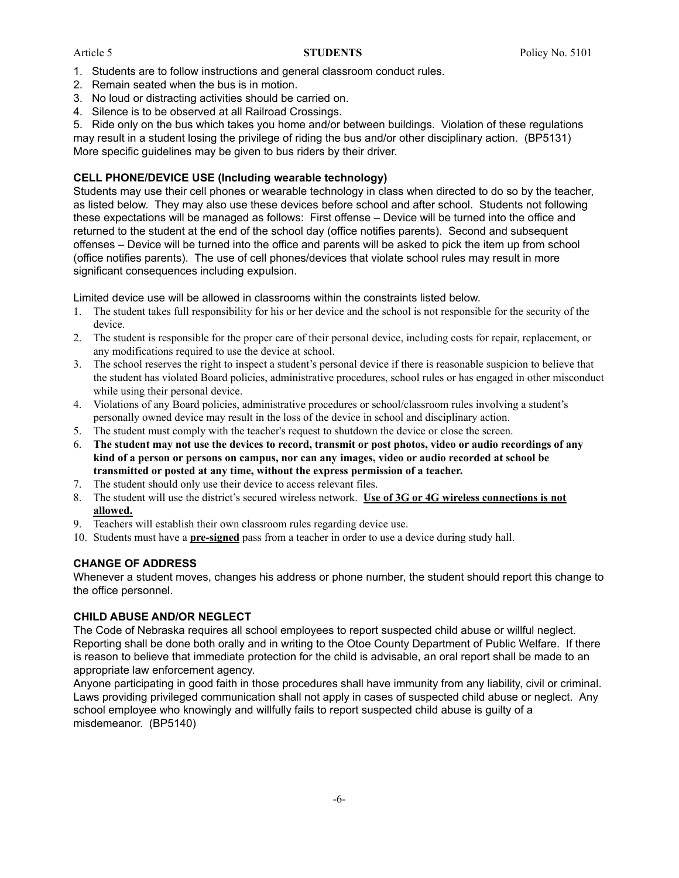- 1. Students are to follow instructions and general classroom conduct rules.
- 2. Remain seated when the bus is in motion.
- 3. No loud or distracting activities should be carried on.
- 4. Silence is to be observed at all Railroad Crossings.

5. Ride only on the bus which takes you home and/or between buildings. Violation of these regulations may result in a student losing the privilege of riding the bus and/or other disciplinary action. (BP5131) More specific guidelines may be given to bus riders by their driver.

### **CELL PHONE/DEVICE USE (Including wearable technology)**

Students may use their cell phones or wearable technology in class when directed to do so by the teacher, as listed below. They may also use these devices before school and after school. Students not following these expectations will be managed as follows: First offense – Device will be turned into the office and returned to the student at the end of the school day (office notifies parents). Second and subsequent offenses – Device will be turned into the office and parents will be asked to pick the item up from school (office notifies parents). The use of cell phones/devices that violate school rules may result in more significant consequences including expulsion.

Limited device use will be allowed in classrooms within the constraints listed below.

- 1. The student takes full responsibility for his or her device and the school is not responsible for the security of the device.
- 2. The student is responsible for the proper care of their personal device, including costs for repair, replacement, or any modifications required to use the device at school.
- 3. The school reserves the right to inspect a student's personal device if there is reasonable suspicion to believe that the student has violated Board policies, administrative procedures, school rules or has engaged in other misconduct while using their personal device.
- 4. Violations of any Board policies, administrative procedures or school/classroom rules involving a student's personally owned device may result in the loss of the device in school and disciplinary action.
- 5. The student must comply with the teacher's request to shutdown the device or close the screen.
- 6. The student may not use the devices to record, transmit or post photos, video or audio recordings of any kind of a person or persons on campus, nor can any images, video or audio recorded at school be **transmitted or posted at any time, without the express permission of a teacher.**
- 7. The student should only use their device to access relevant files.
- 8. The student will use the district's secured wireless network. **Use of 3G or 4G wireless connections is not allowed.**
- 9. Teachers will establish their own classroom rules regarding device use.
- 10. Students must have a **pre-signed** pass from a teacher in order to use a device during study hall.

### **CHANGE OF ADDRESS**

Whenever a student moves, changes his address or phone number, the student should report this change to the office personnel.

### **CHILD ABUSE AND/OR NEGLECT**

The Code of Nebraska requires all school employees to report suspected child abuse or willful neglect. Reporting shall be done both orally and in writing to the Otoe County Department of Public Welfare. If there is reason to believe that immediate protection for the child is advisable, an oral report shall be made to an appropriate law enforcement agency.

Anyone participating in good faith in those procedures shall have immunity from any liability, civil or criminal. Laws providing privileged communication shall not apply in cases of suspected child abuse or neglect. Any school employee who knowingly and willfully fails to report suspected child abuse is guilty of a misdemeanor. (BP5140)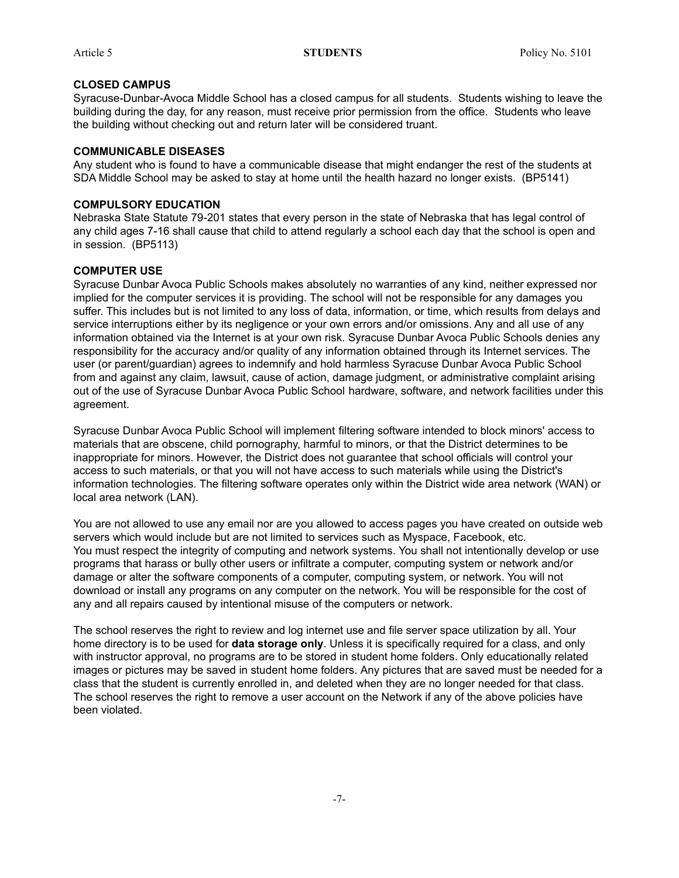#### **CLOSED CAMPUS**

Syracuse-Dunbar-Avoca Middle School has a closed campus for all students. Students wishing to leave the building during the day, for any reason, must receive prior permission from the office. Students who leave the building without checking out and return later will be considered truant.

### **COMMUNICABLE DISEASES**

Any student who is found to have a communicable disease that might endanger the rest of the students at SDA Middle School may be asked to stay at home until the health hazard no longer exists. (BP5141)

### **COMPULSORY EDUCATION**

Nebraska State Statute 79-201 states that every person in the state of Nebraska that has legal control of any child ages 7-16 shall cause that child to attend regularly a school each day that the school is open and in session. (BP5113)

### **COMPUTER USE**

Syracuse Dunbar Avoca Public Schools makes absolutely no warranties of any kind, neither expressed nor implied for the computer services it is providing. The school will not be responsible for any damages you suffer. This includes but is not limited to any loss of data, information, or time, which results from delays and service interruptions either by its negligence or your own errors and/or omissions. Any and all use of any information obtained via the Internet is at your own risk. Syracuse Dunbar Avoca Public Schools denies any responsibility for the accuracy and/or quality of any information obtained through its Internet services. The user (or parent/guardian) agrees to indemnify and hold harmless Syracuse Dunbar Avoca Public School from and against any claim, lawsuit, cause of action, damage judgment, or administrative complaint arising out of the use of Syracuse Dunbar Avoca Public School hardware, software, and network facilities under this agreement.

Syracuse Dunbar Avoca Public School will implement filtering software intended to block minors' access to materials that are obscene, child pornography, harmful to minors, or that the District determines to be inappropriate for minors. However, the District does not guarantee that school officials will control your access to such materials, or that you will not have access to such materials while using the District's information technologies. The filtering software operates only within the District wide area network (WAN) or local area network (LAN).

You are not allowed to use any email nor are you allowed to access pages you have created on outside web servers which would include but are not limited to services such as Myspace, Facebook, etc. You must respect the integrity of computing and network systems. You shall not intentionally develop or use programs that harass or bully other users or infiltrate a computer, computing system or network and/or damage or alter the software components of a computer, computing system, or network. You will not download or install any programs on any computer on the network. You will be responsible for the cost of any and all repairs caused by intentional misuse of the computers or network.

The school reserves the right to review and log internet use and file server space utilization by all. Your home directory is to be used for **data storage only**. Unless it is specifically required for a class, and only with instructor approval, no programs are to be stored in student home folders. Only educationally related images or pictures may be saved in student home folders. Any pictures that are saved must be needed for a class that the student is currently enrolled in, and deleted when they are no longer needed for that class. The school reserves the right to remove a user account on the Network if any of the above policies have been violated.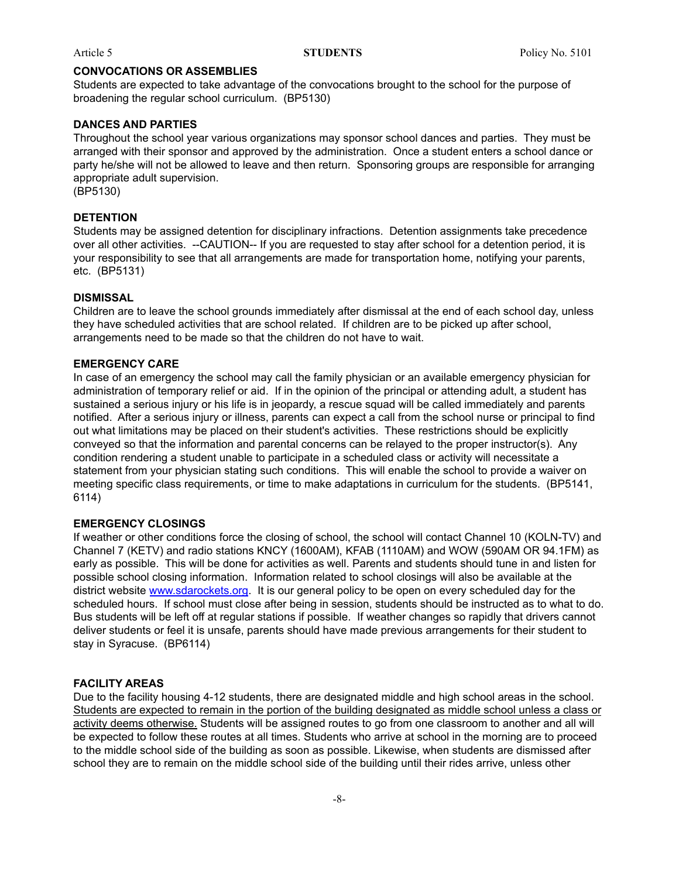#### **CONVOCATIONS OR ASSEMBLIES**

Students are expected to take advantage of the convocations brought to the school for the purpose of broadening the regular school curriculum. (BP5130)

#### **DANCES AND PARTIES**

Throughout the school year various organizations may sponsor school dances and parties. They must be arranged with their sponsor and approved by the administration. Once a student enters a school dance or party he/she will not be allowed to leave and then return. Sponsoring groups are responsible for arranging appropriate adult supervision. (BP5130)

### **DETENTION**

Students may be assigned detention for disciplinary infractions. Detention assignments take precedence over all other activities. --CAUTION-- If you are requested to stay after school for a detention period, it is your responsibility to see that all arrangements are made for transportation home, notifying your parents, etc. (BP5131)

#### **DISMISSAL**

Children are to leave the school grounds immediately after dismissal at the end of each school day, unless they have scheduled activities that are school related. If children are to be picked up after school, arrangements need to be made so that the children do not have to wait.

#### **EMERGENCY CARE**

In case of an emergency the school may call the family physician or an available emergency physician for administration of temporary relief or aid. If in the opinion of the principal or attending adult, a student has sustained a serious injury or his life is in jeopardy, a rescue squad will be called immediately and parents notified. After a serious injury or illness, parents can expect a call from the school nurse or principal to find out what limitations may be placed on their student's activities. These restrictions should be explicitly conveyed so that the information and parental concerns can be relayed to the proper instructor(s). Any condition rendering a student unable to participate in a scheduled class or activity will necessitate a statement from your physician stating such conditions. This will enable the school to provide a waiver on meeting specific class requirements, or time to make adaptations in curriculum for the students. (BP5141, 6114)

#### **EMERGENCY CLOSINGS**

If weather or other conditions force the closing of school, the school will contact Channel 10 (KOLN-TV) and Channel 7 (KETV) and radio stations KNCY (1600AM), KFAB (1110AM) and WOW (590AM OR 94.1FM) as early as possible. This will be done for activities as well. Parents and students should tune in and listen for possible school closing information. Information related to school closings will also be available at the district website [www.sdarockets.org](http://www.sdarockets.org). It is our general policy to be open on every scheduled day for the scheduled hours. If school must close after being in session, students should be instructed as to what to do. Bus students will be left off at regular stations if possible. If weather changes so rapidly that drivers cannot deliver students or feel it is unsafe, parents should have made previous arrangements for their student to stay in Syracuse. (BP6114)

#### **FACILITY AREAS**

Due to the facility housing 4-12 students, there are designated middle and high school areas in the school. Students are expected to remain in the portion of the building designated as middle school unless a class or activity deems otherwise. Students will be assigned routes to go from one classroom to another and all will be expected to follow these routes at all times. Students who arrive at school in the morning are to proceed to the middle school side of the building as soon as possible. Likewise, when students are dismissed after school they are to remain on the middle school side of the building until their rides arrive, unless other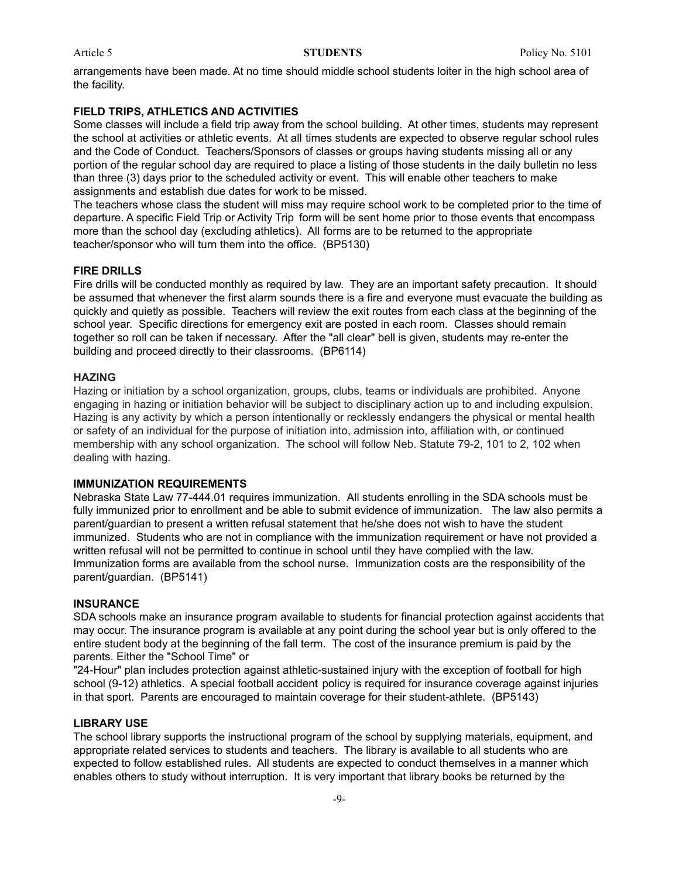arrangements have been made. At no time should middle school students loiter in the high school area of the facility.

#### **FIELD TRIPS, ATHLETICS AND ACTIVITIES**

Some classes will include a field trip away from the school building. At other times, students may represent the school at activities or athletic events. At all times students are expected to observe regular school rules and the Code of Conduct. Teachers/Sponsors of classes or groups having students missing all or any portion of the regular school day are required to place a listing of those students in the daily bulletin no less than three (3) days prior to the scheduled activity or event. This will enable other teachers to make assignments and establish due dates for work to be missed.

The teachers whose class the student will miss may require school work to be completed prior to the time of departure. A specific Field Trip or Activity Trip form will be sent home prior to those events that encompass more than the school day (excluding athletics). All forms are to be returned to the appropriate teacher/sponsor who will turn them into the office. (BP5130)

#### **FIRE DRILLS**

Fire drills will be conducted monthly as required by law. They are an important safety precaution. It should be assumed that whenever the first alarm sounds there is a fire and everyone must evacuate the building as quickly and quietly as possible. Teachers will review the exit routes from each class at the beginning of the school year. Specific directions for emergency exit are posted in each room. Classes should remain together so roll can be taken if necessary. After the "all clear" bell is given, students may re-enter the building and proceed directly to their classrooms. (BP6114)

#### **HAZING**

Hazing or initiation by a school organization, groups, clubs, teams or individuals are prohibited. Anyone engaging in hazing or initiation behavior will be subject to disciplinary action up to and including expulsion. Hazing is any activity by which a person intentionally or recklessly endangers the physical or mental health or safety of an individual for the purpose of initiation into, admission into, affiliation with, or continued membership with any school organization. The school will follow Neb. Statute 79-2, 101 to 2, 102 when dealing with hazing.

#### **IMMUNIZATION REQUIREMENTS**

Nebraska State Law 77-444.01 requires immunization. All students enrolling in the SDA schools must be fully immunized prior to enrollment and be able to submit evidence of immunization. The law also permits a parent/guardian to present a written refusal statement that he/she does not wish to have the student immunized. Students who are not in compliance with the immunization requirement or have not provided a written refusal will not be permitted to continue in school until they have complied with the law. Immunization forms are available from the school nurse. Immunization costs are the responsibility of the parent/guardian. (BP5141)

#### **INSURANCE**

SDA schools make an insurance program available to students for financial protection against accidents that may occur. The insurance program is available at any point during the school year but is only offered to the entire student body at the beginning of the fall term. The cost of the insurance premium is paid by the parents. Either the "School Time" or

"24-Hour" plan includes protection against athletic-sustained injury with the exception of football for high school (9-12) athletics. A special football accident policy is required for insurance coverage against injuries in that sport. Parents are encouraged to maintain coverage for their student-athlete. (BP5143)

#### **LIBRARY USE**

The school library supports the instructional program of the school by supplying materials, equipment, and appropriate related services to students and teachers. The library is available to all students who are expected to follow established rules. All students are expected to conduct themselves in a manner which enables others to study without interruption. It is very important that library books be returned by the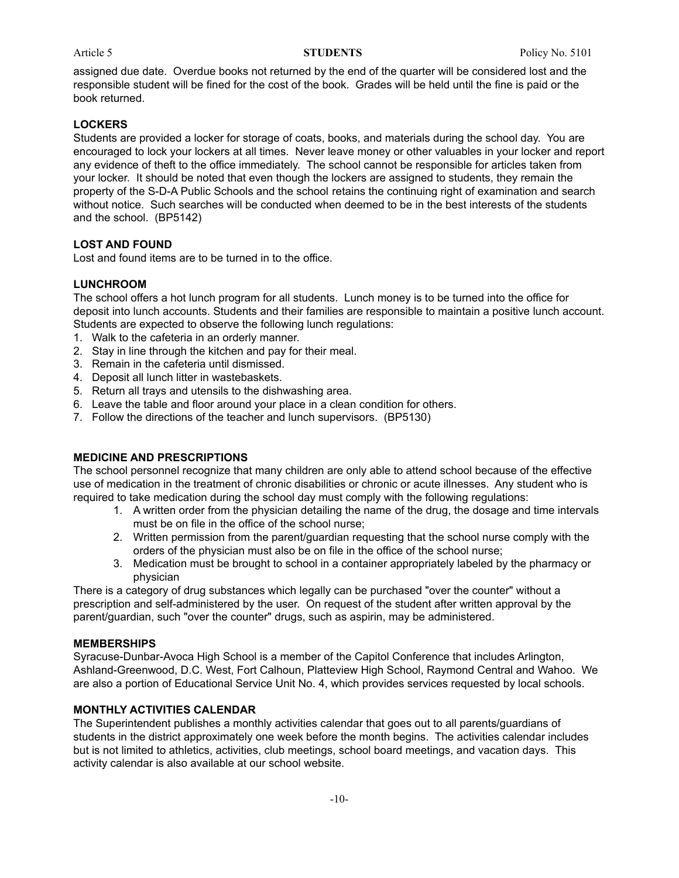assigned due date. Overdue books not returned by the end of the quarter will be considered lost and the responsible student will be fined for the cost of the book. Grades will be held until the fine is paid or the book returned.

#### **LOCKERS**

Students are provided a locker for storage of coats, books, and materials during the school day. You are encouraged to lock your lockers at all times. Never leave money or other valuables in your locker and report any evidence of theft to the office immediately. The school cannot be responsible for articles taken from your locker. It should be noted that even though the lockers are assigned to students, they remain the property of the S-D-A Public Schools and the school retains the continuing right of examination and search without notice. Such searches will be conducted when deemed to be in the best interests of the students and the school. (BP5142)

### **LOST AND FOUND**

Lost and found items are to be turned in to the office.

### **LUNCHROOM**

The school offers a hot lunch program for all students. Lunch money is to be turned into the office for deposit into lunch accounts. Students and their families are responsible to maintain a positive lunch account. Students are expected to observe the following lunch regulations:

- 1. Walk to the cafeteria in an orderly manner.
- 2. Stay in line through the kitchen and pay for their meal.
- 3. Remain in the cafeteria until dismissed.
- 4. Deposit all lunch litter in wastebaskets.
- 5. Return all trays and utensils to the dishwashing area.
- 6. Leave the table and floor around your place in a clean condition for others.
- 7. Follow the directions of the teacher and lunch supervisors. (BP5130)

#### **MEDICINE AND PRESCRIPTIONS**

The school personnel recognize that many children are only able to attend school because of the effective use of medication in the treatment of chronic disabilities or chronic or acute illnesses. Any student who is required to take medication during the school day must comply with the following regulations:

- 1. A written order from the physician detailing the name of the drug, the dosage and time intervals must be on file in the office of the school nurse;
- 2. Written permission from the parent/guardian requesting that the school nurse comply with the orders of the physician must also be on file in the office of the school nurse;
- 3. Medication must be brought to school in a container appropriately labeled by the pharmacy or physician

There is a category of drug substances which legally can be purchased "over the counter" without a prescription and self-administered by the user. On request of the student after written approval by the parent/guardian, such "over the counter" drugs, such as aspirin, may be administered.

#### **MEMBERSHIPS**

Syracuse-Dunbar-Avoca High School is a member of the Capitol Conference that includes Arlington, Ashland-Greenwood, D.C. West, Fort Calhoun, Platteview High School, Raymond Central and Wahoo. We are also a portion of Educational Service Unit No. 4, which provides services requested by local schools.

### **MONTHLY ACTIVITIES CALENDAR**

The Superintendent publishes a monthly activities calendar that goes out to all parents/guardians of students in the district approximately one week before the month begins. The activities calendar includes but is not limited to athletics, activities, club meetings, school board meetings, and vacation days. This activity calendar is also available at our school website.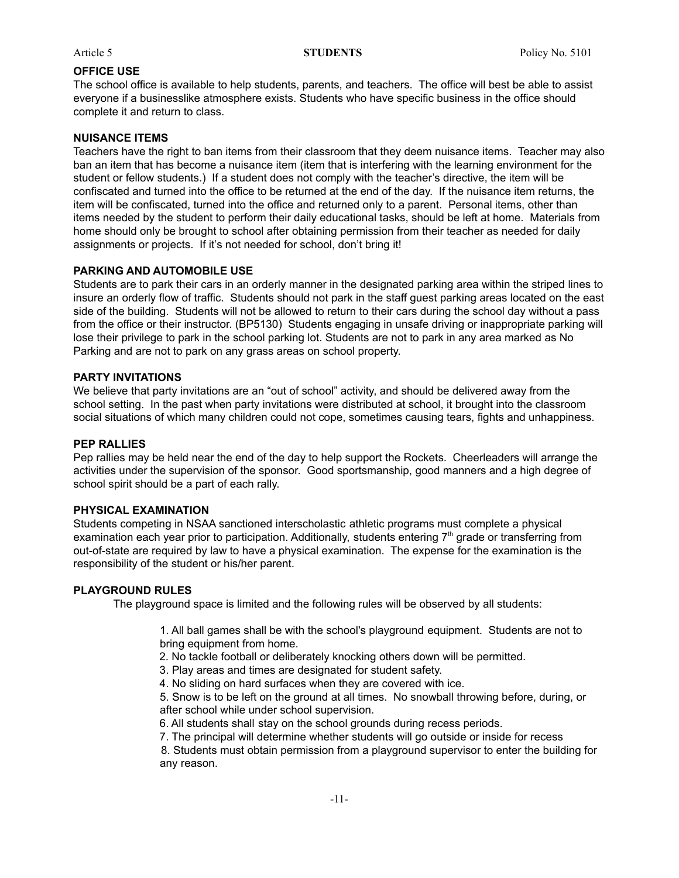#### **OFFICE USE**

The school office is available to help students, parents, and teachers. The office will best be able to assist everyone if a businesslike atmosphere exists. Students who have specific business in the office should complete it and return to class.

#### **NUISANCE ITEMS**

Teachers have the right to ban items from their classroom that they deem nuisance items. Teacher may also ban an item that has become a nuisance item (item that is interfering with the learning environment for the student or fellow students.) If a student does not comply with the teacher's directive, the item will be confiscated and turned into the office to be returned at the end of the day. If the nuisance item returns, the item will be confiscated, turned into the office and returned only to a parent. Personal items, other than items needed by the student to perform their daily educational tasks, should be left at home. Materials from home should only be brought to school after obtaining permission from their teacher as needed for daily assignments or projects. If it's not needed for school, don't bring it!

#### **PARKING AND AUTOMOBILE USE**

Students are to park their cars in an orderly manner in the designated parking area within the striped lines to insure an orderly flow of traffic. Students should not park in the staff guest parking areas located on the east side of the building. Students will not be allowed to return to their cars during the school day without a pass from the office or their instructor. (BP5130) Students engaging in unsafe driving or inappropriate parking will lose their privilege to park in the school parking lot. Students are not to park in any area marked as No Parking and are not to park on any grass areas on school property.

#### **PARTY INVITATIONS**

We believe that party invitations are an "out of school" activity, and should be delivered away from the school setting. In the past when party invitations were distributed at school, it brought into the classroom social situations of which many children could not cope, sometimes causing tears, fights and unhappiness.

#### **PEP RALLIES**

Pep rallies may be held near the end of the day to help support the Rockets. Cheerleaders will arrange the activities under the supervision of the sponsor. Good sportsmanship, good manners and a high degree of school spirit should be a part of each rally.

#### **PHYSICAL EXAMINATION**

Students competing in NSAA sanctioned interscholastic athletic programs must complete a physical examination each year prior to participation. Additionally, students entering  $7<sup>th</sup>$  grade or transferring from out-of-state are required by law to have a physical examination. The expense for the examination is the responsibility of the student or his/her parent.

#### **PLAYGROUND RULES**

The playground space is limited and the following rules will be observed by all students:

1. All ball games shall be with the school's playground equipment. Students are not to bring equipment from home.

- 2. No tackle football or deliberately knocking others down will be permitted.
- 3. Play areas and times are designated for student safety.
- 4. No sliding on hard surfaces when they are covered with ice.

5. Snow is to be left on the ground at all times. No snowball throwing before, during, or after school while under school supervision.

6. All students shall stay on the school grounds during recess periods.

7. The principal will determine whether students will go outside or inside for recess

8. Students must obtain permission from a playground supervisor to enter the building for any reason.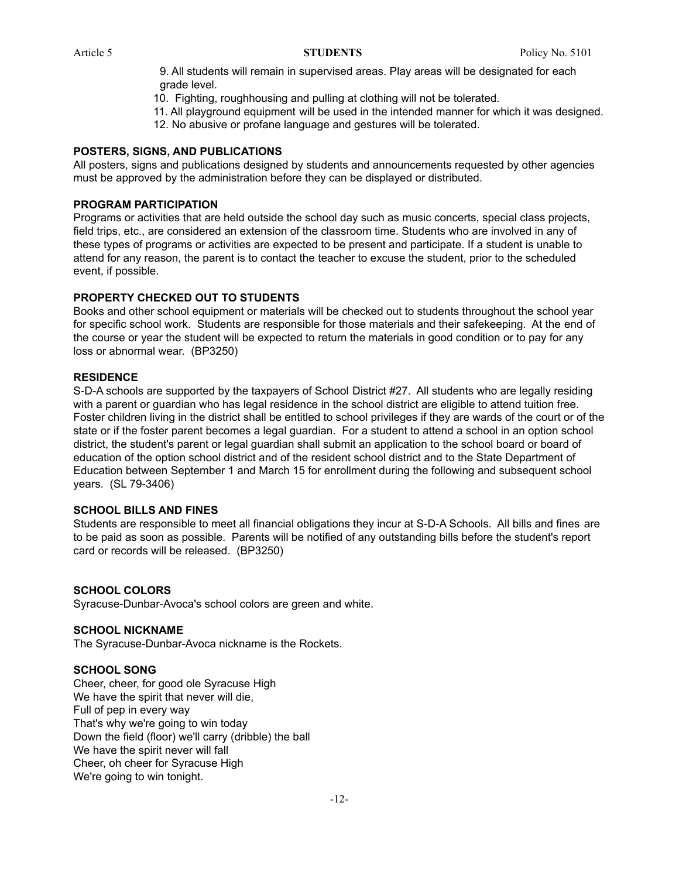9. All students will remain in supervised areas. Play areas will be designated for each grade level.

- 10. Fighting, roughhousing and pulling at clothing will not be tolerated.
- 11. All playground equipment will be used in the intended manner for which it was designed.
- 12. No abusive or profane language and gestures will be tolerated.

### **POSTERS, SIGNS, AND PUBLICATIONS**

All posters, signs and publications designed by students and announcements requested by other agencies must be approved by the administration before they can be displayed or distributed.

### **PROGRAM PARTICIPATION**

Programs or activities that are held outside the school day such as music concerts, special class projects, field trips, etc., are considered an extension of the classroom time. Students who are involved in any of these types of programs or activities are expected to be present and participate. If a student is unable to attend for any reason, the parent is to contact the teacher to excuse the student, prior to the scheduled event, if possible.

### **PROPERTY CHECKED OUT TO STUDENTS**

Books and other school equipment or materials will be checked out to students throughout the school year for specific school work. Students are responsible for those materials and their safekeeping. At the end of the course or year the student will be expected to return the materials in good condition or to pay for any loss or abnormal wear. (BP3250)

### **RESIDENCE**

S-D-A schools are supported by the taxpayers of School District #27. All students who are legally residing with a parent or guardian who has legal residence in the school district are eligible to attend tuition free. Foster children living in the district shall be entitled to school privileges if they are wards of the court or of the state or if the foster parent becomes a legal guardian. For a student to attend a school in an option school district, the student's parent or legal guardian shall submit an application to the school board or board of education of the option school district and of the resident school district and to the State Department of Education between September 1 and March 15 for enrollment during the following and subsequent school years. (SL 79-3406)

#### **SCHOOL BILLS AND FINES**

Students are responsible to meet all financial obligations they incur at S-D-A Schools. All bills and fines are to be paid as soon as possible. Parents will be notified of any outstanding bills before the student's report card or records will be released. (BP3250)

### **SCHOOL COLORS**

Syracuse-Dunbar-Avoca's school colors are green and white.

### **SCHOOL NICKNAME**

The Syracuse-Dunbar-Avoca nickname is the Rockets.

#### **SCHOOL SONG**

Cheer, cheer, for good ole Syracuse High We have the spirit that never will die, Full of pep in every way That's why we're going to win today Down the field (floor) we'll carry (dribble) the ball We have the spirit never will fall Cheer, oh cheer for Syracuse High We're going to win tonight.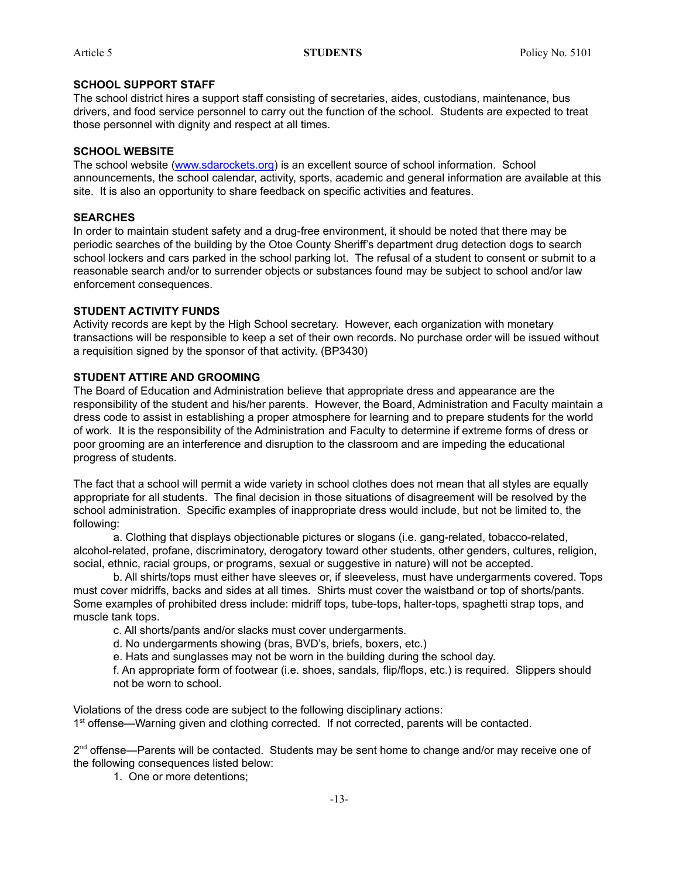### **SCHOOL SUPPORT STAFF**

The school district hires a support staff consisting of secretaries, aides, custodians, maintenance, bus drivers, and food service personnel to carry out the function of the school. Students are expected to treat those personnel with dignity and respect at all times.

### **SCHOOL WEBSITE**

The school website ([www.sdarockets.org](http://www.sdarockets.org)) is an excellent source of school information. School announcements, the school calendar, activity, sports, academic and general information are available at this site. It is also an opportunity to share feedback on specific activities and features.

### **SEARCHES**

In order to maintain student safety and a drug-free environment, it should be noted that there may be periodic searches of the building by the Otoe County Sheriff's department drug detection dogs to search school lockers and cars parked in the school parking lot. The refusal of a student to consent or submit to a reasonable search and/or to surrender objects or substances found may be subject to school and/or law enforcement consequences.

### **STUDENT ACTIVITY FUNDS**

Activity records are kept by the High School secretary. However, each organization with monetary transactions will be responsible to keep a set of their own records. No purchase order will be issued without a requisition signed by the sponsor of that activity. (BP3430)

### **STUDENT ATTIRE AND GROOMING**

The Board of Education and Administration believe that appropriate dress and appearance are the responsibility of the student and his/her parents. However, the Board, Administration and Faculty maintain a dress code to assist in establishing a proper atmosphere for learning and to prepare students for the world of work. It is the responsibility of the Administration and Faculty to determine if extreme forms of dress or poor grooming are an interference and disruption to the classroom and are impeding the educational progress of students.

The fact that a school will permit a wide variety in school clothes does not mean that all styles are equally appropriate for all students. The final decision in those situations of disagreement will be resolved by the school administration. Specific examples of inappropriate dress would include, but not be limited to, the following:

a. Clothing that displays objectionable pictures or slogans (i.e. gang-related, tobacco-related, alcohol-related, profane, discriminatory, derogatory toward other students, other genders, cultures, religion, social, ethnic, racial groups, or programs, sexual or suggestive in nature) will not be accepted.

b. All shirts/tops must either have sleeves or, if sleeveless, must have undergarments covered. Tops must cover midriffs, backs and sides at all times. Shirts must cover the waistband or top of shorts/pants. Some examples of prohibited dress include: midriff tops, tube-tops, halter-tops, spaghetti strap tops, and muscle tank tops.

c. All shorts/pants and/or slacks must cover undergarments.

d. No undergarments showing (bras, BVD's, briefs, boxers, etc.)

e. Hats and sunglasses may not be worn in the building during the school day.

f. An appropriate form of footwear (i.e. shoes, sandals, flip/flops, etc.) is required. Slippers should not be worn to school.

Violations of the dress code are subject to the following disciplinary actions:

1<sup>st</sup> offense—Warning given and clothing corrected. If not corrected, parents will be contacted.

2<sup>nd</sup> offense—Parents will be contacted. Students may be sent home to change and/or may receive one of the following consequences listed below:

1. One or more detentions;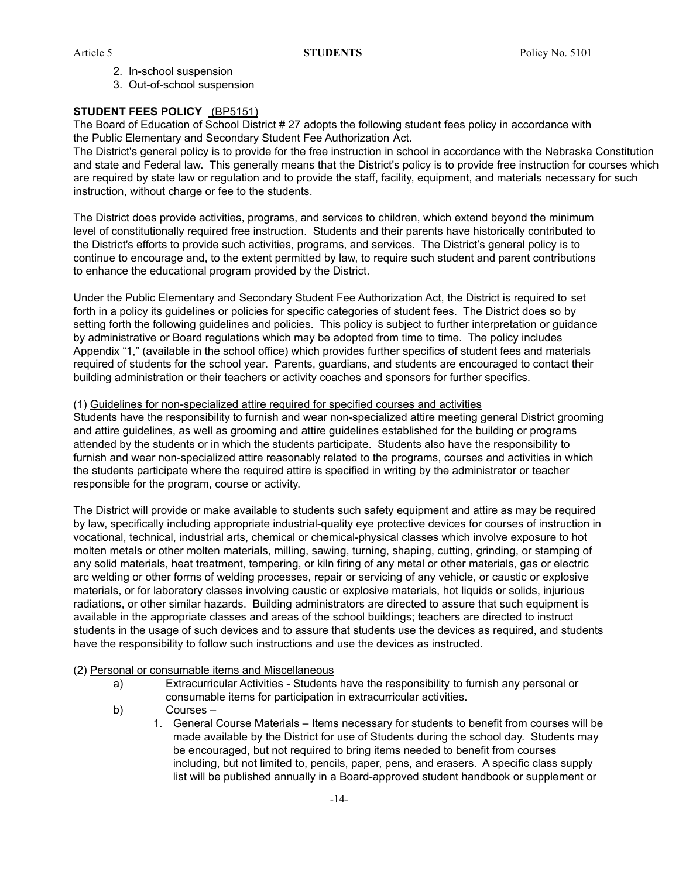- 2. In-school suspension
- 3. Out-of-school suspension

### **STUDENT FEES POLICY** (BP5151)

The Board of Education of School District # 27 adopts the following student fees policy in accordance with the Public Elementary and Secondary Student Fee Authorization Act.

The District's general policy is to provide for the free instruction in school in accordance with the Nebraska Constitution and state and Federal law. This generally means that the District's policy is to provide free instruction for courses which are required by state law or regulation and to provide the staff, facility, equipment, and materials necessary for such instruction, without charge or fee to the students.

The District does provide activities, programs, and services to children, which extend beyond the minimum level of constitutionally required free instruction. Students and their parents have historically contributed to the District's efforts to provide such activities, programs, and services. The District's general policy is to continue to encourage and, to the extent permitted by law, to require such student and parent contributions to enhance the educational program provided by the District.

Under the Public Elementary and Secondary Student Fee Authorization Act, the District is required to set forth in a policy its guidelines or policies for specific categories of student fees. The District does so by setting forth the following guidelines and policies. This policy is subject to further interpretation or guidance by administrative or Board regulations which may be adopted from time to time. The policy includes Appendix "1," (available in the school office) which provides further specifics of student fees and materials required of students for the school year. Parents, guardians, and students are encouraged to contact their building administration or their teachers or activity coaches and sponsors for further specifics.

#### (1) Guidelines for non-specialized attire required for specified courses and activities

Students have the responsibility to furnish and wear non-specialized attire meeting general District grooming and attire guidelines, as well as grooming and attire guidelines established for the building or programs attended by the students or in which the students participate. Students also have the responsibility to furnish and wear non-specialized attire reasonably related to the programs, courses and activities in which the students participate where the required attire is specified in writing by the administrator or teacher responsible for the program, course or activity.

The District will provide or make available to students such safety equipment and attire as may be required by law, specifically including appropriate industrial-quality eye protective devices for courses of instruction in vocational, technical, industrial arts, chemical or chemical-physical classes which involve exposure to hot molten metals or other molten materials, milling, sawing, turning, shaping, cutting, grinding, or stamping of any solid materials, heat treatment, tempering, or kiln firing of any metal or other materials, gas or electric arc welding or other forms of welding processes, repair or servicing of any vehicle, or caustic or explosive materials, or for laboratory classes involving caustic or explosive materials, hot liquids or solids, injurious radiations, or other similar hazards. Building administrators are directed to assure that such equipment is available in the appropriate classes and areas of the school buildings; teachers are directed to instruct students in the usage of such devices and to assure that students use the devices as required, and students have the responsibility to follow such instructions and use the devices as instructed.

#### (2) Personal or consumable items and Miscellaneous

- a) Extracurricular Activities Students have the responsibility to furnish any personal or consumable items for participation in extracurricular activities.
- b) Courses
	- 1. General Course Materials Items necessary for students to benefit from courses will be made available by the District for use of Students during the school day. Students may be encouraged, but not required to bring items needed to benefit from courses including, but not limited to, pencils, paper, pens, and erasers. A specific class supply list will be published annually in a Board-approved student handbook or supplement or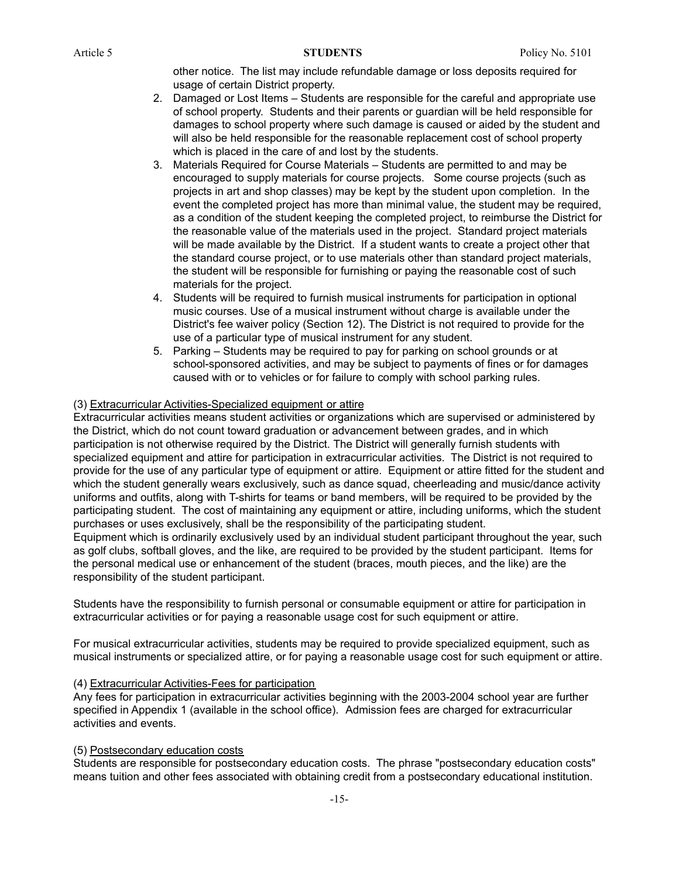other notice. The list may include refundable damage or loss deposits required for usage of certain District property.

- 2. Damaged or Lost Items Students are responsible for the careful and appropriate use of school property. Students and their parents or guardian will be held responsible for damages to school property where such damage is caused or aided by the student and will also be held responsible for the reasonable replacement cost of school property which is placed in the care of and lost by the students.
- 3. Materials Required for Course Materials Students are permitted to and may be encouraged to supply materials for course projects. Some course projects (such as projects in art and shop classes) may be kept by the student upon completion. In the event the completed project has more than minimal value, the student may be required, as a condition of the student keeping the completed project, to reimburse the District for the reasonable value of the materials used in the project. Standard project materials will be made available by the District. If a student wants to create a project other that the standard course project, or to use materials other than standard project materials, the student will be responsible for furnishing or paying the reasonable cost of such materials for the project.
- 4. Students will be required to furnish musical instruments for participation in optional music courses. Use of a musical instrument without charge is available under the District's fee waiver policy (Section 12). The District is not required to provide for the use of a particular type of musical instrument for any student.
- 5. Parking Students may be required to pay for parking on school grounds or at school-sponsored activities, and may be subject to payments of fines or for damages caused with or to vehicles or for failure to comply with school parking rules.

### (3) Extracurricular Activities-Specialized equipment or attire

Extracurricular activities means student activities or organizations which are supervised or administered by the District, which do not count toward graduation or advancement between grades, and in which participation is not otherwise required by the District. The District will generally furnish students with specialized equipment and attire for participation in extracurricular activities. The District is not required to provide for the use of any particular type of equipment or attire. Equipment or attire fitted for the student and which the student generally wears exclusively, such as dance squad, cheerleading and music/dance activity uniforms and outfits, along with T-shirts for teams or band members, will be required to be provided by the participating student. The cost of maintaining any equipment or attire, including uniforms, which the student purchases or uses exclusively, shall be the responsibility of the participating student.

Equipment which is ordinarily exclusively used by an individual student participant throughout the year, such as golf clubs, softball gloves, and the like, are required to be provided by the student participant. Items for the personal medical use or enhancement of the student (braces, mouth pieces, and the like) are the responsibility of the student participant.

Students have the responsibility to furnish personal or consumable equipment or attire for participation in extracurricular activities or for paying a reasonable usage cost for such equipment or attire.

For musical extracurricular activities, students may be required to provide specialized equipment, such as musical instruments or specialized attire, or for paying a reasonable usage cost for such equipment or attire.

### (4) Extracurricular Activities-Fees for participation

Any fees for participation in extracurricular activities beginning with the 2003-2004 school year are further specified in Appendix 1 (available in the school office). Admission fees are charged for extracurricular activities and events.

### (5) Postsecondary education costs

Students are responsible for postsecondary education costs. The phrase "postsecondary education costs" means tuition and other fees associated with obtaining credit from a postsecondary educational institution.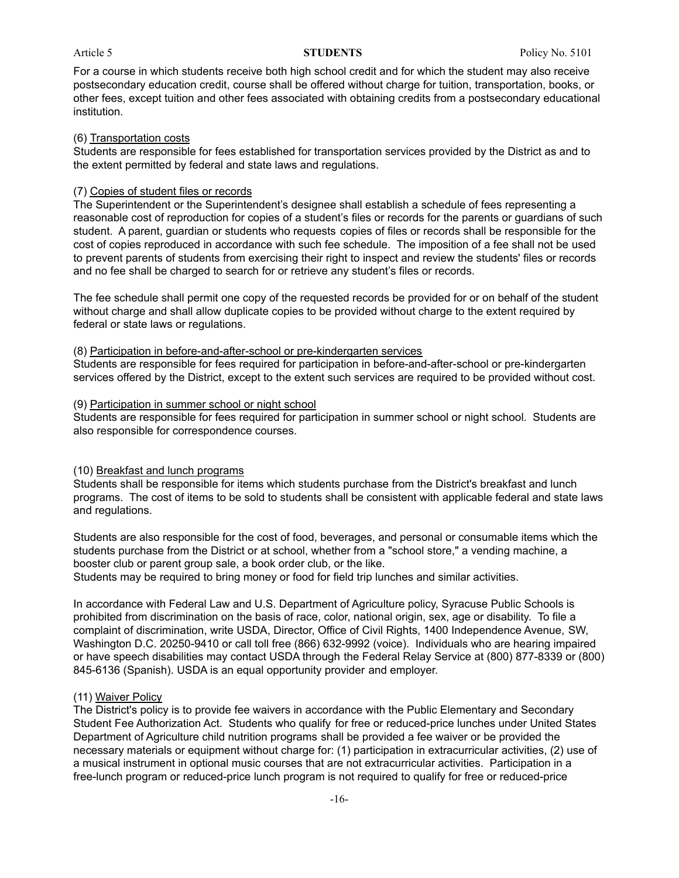For a course in which students receive both high school credit and for which the student may also receive postsecondary education credit, course shall be offered without charge for tuition, transportation, books, or other fees, except tuition and other fees associated with obtaining credits from a postsecondary educational institution.

#### (6) Transportation costs

Students are responsible for fees established for transportation services provided by the District as and to the extent permitted by federal and state laws and regulations.

#### (7) Copies of student files or records

The Superintendent or the Superintendent's designee shall establish a schedule of fees representing a reasonable cost of reproduction for copies of a student's files or records for the parents or guardians of such student. A parent, guardian or students who requests copies of files or records shall be responsible for the cost of copies reproduced in accordance with such fee schedule. The imposition of a fee shall not be used to prevent parents of students from exercising their right to inspect and review the students' files or records and no fee shall be charged to search for or retrieve any student's files or records.

The fee schedule shall permit one copy of the requested records be provided for or on behalf of the student without charge and shall allow duplicate copies to be provided without charge to the extent required by federal or state laws or regulations.

#### (8) Participation in before-and-after-school or pre-kindergarten services

Students are responsible for fees required for participation in before-and-after-school or pre-kindergarten services offered by the District, except to the extent such services are required to be provided without cost.

#### (9) Participation in summer school or night school

Students are responsible for fees required for participation in summer school or night school. Students are also responsible for correspondence courses.

#### (10) Breakfast and lunch programs

Students shall be responsible for items which students purchase from the District's breakfast and lunch programs. The cost of items to be sold to students shall be consistent with applicable federal and state laws and regulations.

Students are also responsible for the cost of food, beverages, and personal or consumable items which the students purchase from the District or at school, whether from a "school store," a vending machine, a booster club or parent group sale, a book order club, or the like.

Students may be required to bring money or food for field trip lunches and similar activities.

In accordance with Federal Law and U.S. Department of Agriculture policy, Syracuse Public Schools is prohibited from discrimination on the basis of race, color, national origin, sex, age or disability. To file a complaint of discrimination, write USDA, Director, Office of Civil Rights, 1400 Independence Avenue, SW, Washington D.C. 20250-9410 or call toll free (866) 632-9992 (voice). Individuals who are hearing impaired or have speech disabilities may contact USDA through the Federal Relay Service at (800) 877-8339 or (800) 845-6136 (Spanish). USDA is an equal opportunity provider and employer.

#### (11) Waiver Policy

The District's policy is to provide fee waivers in accordance with the Public Elementary and Secondary Student Fee Authorization Act. Students who qualify for free or reduced-price lunches under United States Department of Agriculture child nutrition programs shall be provided a fee waiver or be provided the necessary materials or equipment without charge for: (1) participation in extracurricular activities, (2) use of a musical instrument in optional music courses that are not extracurricular activities. Participation in a free-lunch program or reduced-price lunch program is not required to qualify for free or reduced-price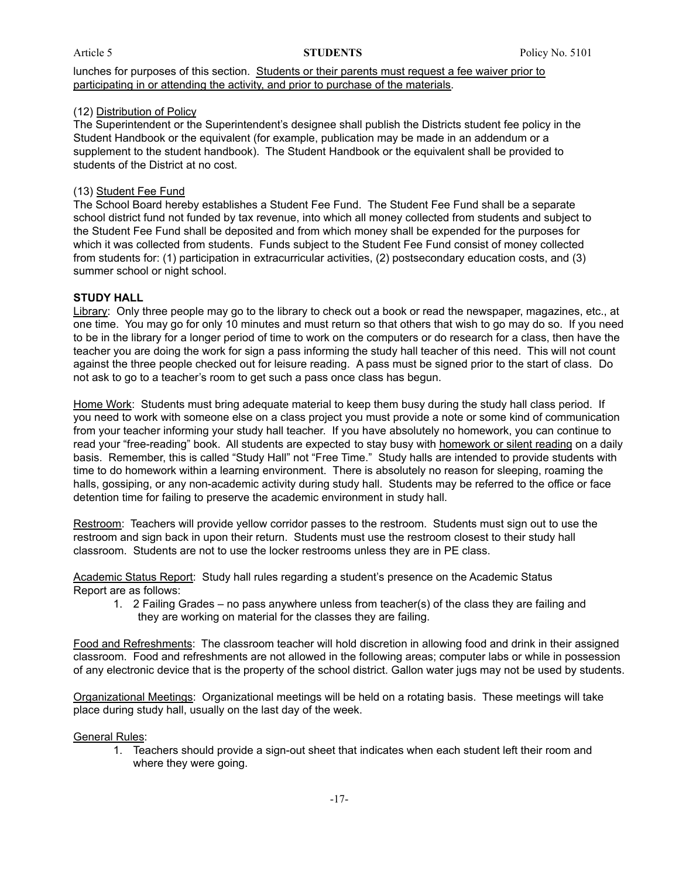lunches for purposes of this section. Students or their parents must request a fee waiver prior to participating in or attending the activity, and prior to purchase of the materials.

### (12) Distribution of Policy

The Superintendent or the Superintendent's designee shall publish the Districts student fee policy in the Student Handbook or the equivalent (for example, publication may be made in an addendum or a supplement to the student handbook). The Student Handbook or the equivalent shall be provided to students of the District at no cost.

### (13) Student Fee Fund

The School Board hereby establishes a Student Fee Fund. The Student Fee Fund shall be a separate school district fund not funded by tax revenue, into which all money collected from students and subject to the Student Fee Fund shall be deposited and from which money shall be expended for the purposes for which it was collected from students. Funds subject to the Student Fee Fund consist of money collected from students for: (1) participation in extracurricular activities, (2) postsecondary education costs, and (3) summer school or night school.

### **STUDY HALL**

Library: Only three people may go to the library to check out a book or read the newspaper, magazines, etc., at one time. You may go for only 10 minutes and must return so that others that wish to go may do so. If you need to be in the library for a longer period of time to work on the computers or do research for a class, then have the teacher you are doing the work for sign a pass informing the study hall teacher of this need. This will not count against the three people checked out for leisure reading. A pass must be signed prior to the start of class. Do not ask to go to a teacher's room to get such a pass once class has begun.

Home Work: Students must bring adequate material to keep them busy during the study hall class period. If you need to work with someone else on a class project you must provide a note or some kind of communication from your teacher informing your study hall teacher. If you have absolutely no homework, you can continue to read your "free-reading" book. All students are expected to stay busy with homework or silent reading on a daily basis. Remember, this is called "Study Hall" not "Free Time." Study halls are intended to provide students with time to do homework within a learning environment. There is absolutely no reason for sleeping, roaming the halls, gossiping, or any non-academic activity during study hall. Students may be referred to the office or face detention time for failing to preserve the academic environment in study hall.

Restroom: Teachers will provide yellow corridor passes to the restroom. Students must sign out to use the restroom and sign back in upon their return. Students must use the restroom closest to their study hall classroom. Students are not to use the locker restrooms unless they are in PE class.

Academic Status Report: Study hall rules regarding a student's presence on the Academic Status Report are as follows:

1. 2 Failing Grades – no pass anywhere unless from teacher(s) of the class they are failing and they are working on material for the classes they are failing.

Food and Refreshments: The classroom teacher will hold discretion in allowing food and drink in their assigned classroom. Food and refreshments are not allowed in the following areas; computer labs or while in possession of any electronic device that is the property of the school district. Gallon water jugs may not be used by students.

Organizational Meetings: Organizational meetings will be held on a rotating basis. These meetings will take place during study hall, usually on the last day of the week.

#### General Rules:

1. Teachers should provide a sign-out sheet that indicates when each student left their room and where they were going.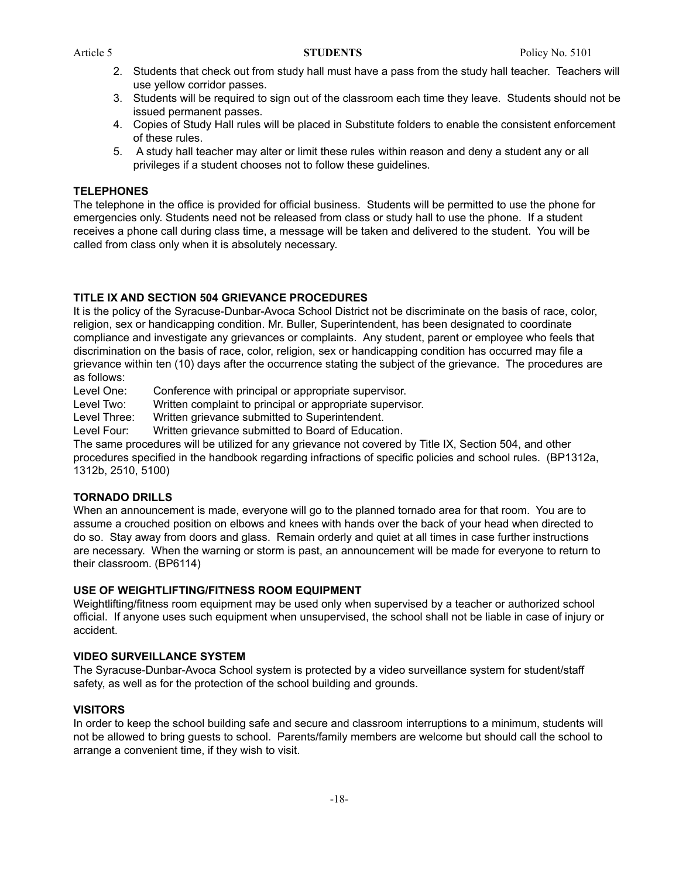- 2. Students that check out from study hall must have a pass from the study hall teacher. Teachers will use yellow corridor passes.
- 3. Students will be required to sign out of the classroom each time they leave. Students should not be issued permanent passes.
- 4. Copies of Study Hall rules will be placed in Substitute folders to enable the consistent enforcement of these rules.
- 5. A study hall teacher may alter or limit these rules within reason and deny a student any or all privileges if a student chooses not to follow these guidelines.

### **TELEPHONES**

The telephone in the office is provided for official business. Students will be permitted to use the phone for emergencies only. Students need not be released from class or study hall to use the phone. If a student receives a phone call during class time, a message will be taken and delivered to the student. You will be called from class only when it is absolutely necessary.

### **TITLE IX AND SECTION 504 GRIEVANCE PROCEDURES**

It is the policy of the Syracuse-Dunbar-Avoca School District not be discriminate on the basis of race, color, religion, sex or handicapping condition. Mr. Buller, Superintendent, has been designated to coordinate compliance and investigate any grievances or complaints. Any student, parent or employee who feels that discrimination on the basis of race, color, religion, sex or handicapping condition has occurred may file a grievance within ten (10) days after the occurrence stating the subject of the grievance. The procedures are as follows:

Level One: Conference with principal or appropriate supervisor.

Level Two: Written complaint to principal or appropriate supervisor.

Level Three: Written grievance submitted to Superintendent.

Level Four: Written grievance submitted to Board of Education.

The same procedures will be utilized for any grievance not covered by Title IX, Section 504, and other procedures specified in the handbook regarding infractions of specific policies and school rules. (BP1312a, 1312b, 2510, 5100)

#### **TORNADO DRILLS**

When an announcement is made, everyone will go to the planned tornado area for that room. You are to assume a crouched position on elbows and knees with hands over the back of your head when directed to do so. Stay away from doors and glass. Remain orderly and quiet at all times in case further instructions are necessary. When the warning or storm is past, an announcement will be made for everyone to return to their classroom. (BP6114)

### **USE OF WEIGHTLIFTING/FITNESS ROOM EQUIPMENT**

Weightlifting/fitness room equipment may be used only when supervised by a teacher or authorized school official. If anyone uses such equipment when unsupervised, the school shall not be liable in case of injury or accident.

#### **VIDEO SURVEILLANCE SYSTEM**

The Syracuse-Dunbar-Avoca School system is protected by a video surveillance system for student/staff safety, as well as for the protection of the school building and grounds.

### **VISITORS**

In order to keep the school building safe and secure and classroom interruptions to a minimum, students will not be allowed to bring guests to school. Parents/family members are welcome but should call the school to arrange a convenient time, if they wish to visit.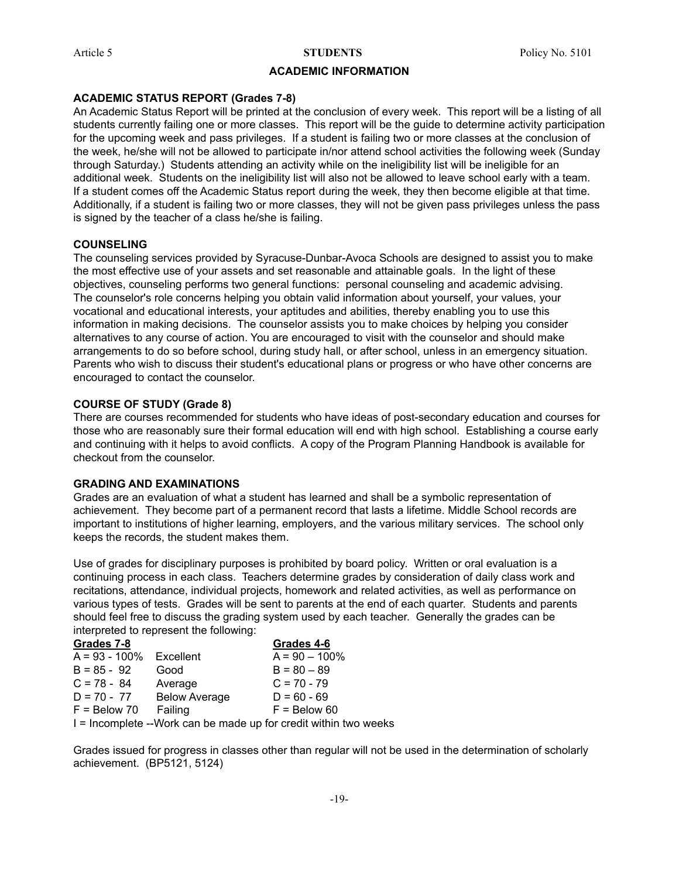#### **ACADEMIC INFORMATION**

#### **ACADEMIC STATUS REPORT (Grades 7-8)**

An Academic Status Report will be printed at the conclusion of every week. This report will be a listing of all students currently failing one or more classes. This report will be the guide to determine activity participation for the upcoming week and pass privileges. If a student is failing two or more classes at the conclusion of the week, he/she will not be allowed to participate in/nor attend school activities the following week (Sunday through Saturday.) Students attending an activity while on the ineligibility list will be ineligible for an additional week. Students on the ineligibility list will also not be allowed to leave school early with a team. If a student comes off the Academic Status report during the week, they then become eligible at that time. Additionally, if a student is failing two or more classes, they will not be given pass privileges unless the pass is signed by the teacher of a class he/she is failing.

#### **COUNSELING**

The counseling services provided by Syracuse-Dunbar-Avoca Schools are designed to assist you to make the most effective use of your assets and set reasonable and attainable goals. In the light of these objectives, counseling performs two general functions: personal counseling and academic advising. The counselor's role concerns helping you obtain valid information about yourself, your values, your vocational and educational interests, your aptitudes and abilities, thereby enabling you to use this information in making decisions. The counselor assists you to make choices by helping you consider alternatives to any course of action. You are encouraged to visit with the counselor and should make arrangements to do so before school, during study hall, or after school, unless in an emergency situation. Parents who wish to discuss their student's educational plans or progress or who have other concerns are encouraged to contact the counselor.

#### **COURSE OF STUDY (Grade 8)**

There are courses recommended for students who have ideas of post-secondary education and courses for those who are reasonably sure their formal education will end with high school. Establishing a course early and continuing with it helps to avoid conflicts. A copy of the Program Planning Handbook is available for checkout from the counselor.

#### **GRADING AND EXAMINATIONS**

Grades are an evaluation of what a student has learned and shall be a symbolic representation of achievement. They become part of a permanent record that lasts a lifetime. Middle School records are important to institutions of higher learning, employers, and the various military services. The school only keeps the records, the student makes them.

Use of grades for disciplinary purposes is prohibited by board policy. Written or oral evaluation is a continuing process in each class. Teachers determine grades by consideration of daily class work and recitations, attendance, individual projects, homework and related activities, as well as performance on various types of tests. Grades will be sent to parents at the end of each quarter. Students and parents should feel free to discuss the grading system used by each teacher. Generally the grades can be interpreted to represent the following:

| Grades 7-8                                                       |                      | Grades 4-6       |  |  |
|------------------------------------------------------------------|----------------------|------------------|--|--|
| $A = 93 - 100\%$ Excellent                                       |                      | $A = 90 - 100\%$ |  |  |
| $B = 85 - 92$                                                    | Good                 | $B = 80 - 89$    |  |  |
| $C = 78 - 84$                                                    | Average              | $C = 70 - 79$    |  |  |
| $D = 70 - 77$                                                    | <b>Below Average</b> | $D = 60 - 69$    |  |  |
| $F =$ Below 70                                                   | Failing              | $F =$ Below 60   |  |  |
| I = Incomplete --Work can be made up for credit within two weeks |                      |                  |  |  |

Grades issued for progress in classes other than regular will not be used in the determination of scholarly achievement. (BP5121, 5124)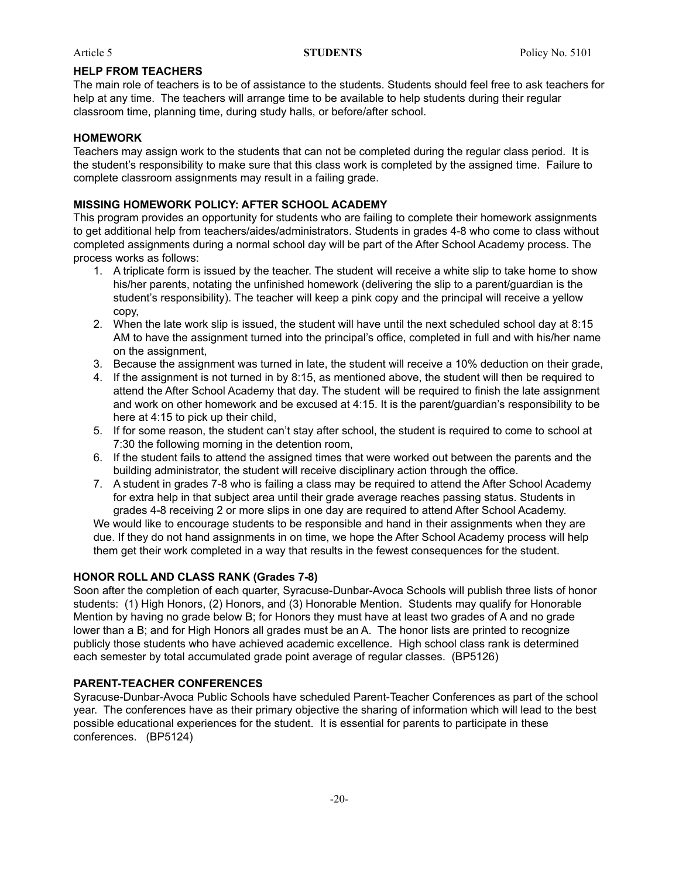#### **HELP FROM TEACHERS**

The main role of teachers is to be of assistance to the students. Students should feel free to ask teachers for help at any time. The teachers will arrange time to be available to help students during their regular classroom time, planning time, during study halls, or before/after school.

#### **HOMEWORK**

Teachers may assign work to the students that can not be completed during the regular class period. It is the student's responsibility to make sure that this class work is completed by the assigned time. Failure to complete classroom assignments may result in a failing grade.

### **MISSING HOMEWORK POLICY: AFTER SCHOOL ACADEMY**

This program provides an opportunity for students who are failing to complete their homework assignments to get additional help from teachers/aides/administrators. Students in grades 4-8 who come to class without completed assignments during a normal school day will be part of the After School Academy process. The process works as follows:

- 1. A triplicate form is issued by the teacher. The student will receive a white slip to take home to show his/her parents, notating the unfinished homework (delivering the slip to a parent/guardian is the student's responsibility). The teacher will keep a pink copy and the principal will receive a yellow copy,
- 2. When the late work slip is issued, the student will have until the next scheduled school day at 8:15 AM to have the assignment turned into the principal's office, completed in full and with his/her name on the assignment,
- 3. Because the assignment was turned in late, the student will receive a 10% deduction on their grade,
- 4. If the assignment is not turned in by 8:15, as mentioned above, the student will then be required to attend the After School Academy that day. The student will be required to finish the late assignment and work on other homework and be excused at 4:15. It is the parent/guardian's responsibility to be here at 4:15 to pick up their child,
- 5. If for some reason, the student can't stay after school, the student is required to come to school at 7:30 the following morning in the detention room,
- 6. If the student fails to attend the assigned times that were worked out between the parents and the building administrator, the student will receive disciplinary action through the office.
- 7. A student in grades 7-8 who is failing a class may be required to attend the After School Academy for extra help in that subject area until their grade average reaches passing status. Students in grades 4-8 receiving 2 or more slips in one day are required to attend After School Academy.

We would like to encourage students to be responsible and hand in their assignments when they are due. If they do not hand assignments in on time, we hope the After School Academy process will help them get their work completed in a way that results in the fewest consequences for the student.

#### **HONOR ROLL AND CLASS RANK (Grades 7-8)**

Soon after the completion of each quarter, Syracuse-Dunbar-Avoca Schools will publish three lists of honor students: (1) High Honors, (2) Honors, and (3) Honorable Mention. Students may qualify for Honorable Mention by having no grade below B; for Honors they must have at least two grades of A and no grade lower than a B; and for High Honors all grades must be an A. The honor lists are printed to recognize publicly those students who have achieved academic excellence. High school class rank is determined each semester by total accumulated grade point average of regular classes. (BP5126)

### **PARENT-TEACHER CONFERENCES**

Syracuse-Dunbar-Avoca Public Schools have scheduled Parent-Teacher Conferences as part of the school year. The conferences have as their primary objective the sharing of information which will lead to the best possible educational experiences for the student. It is essential for parents to participate in these conferences. (BP5124)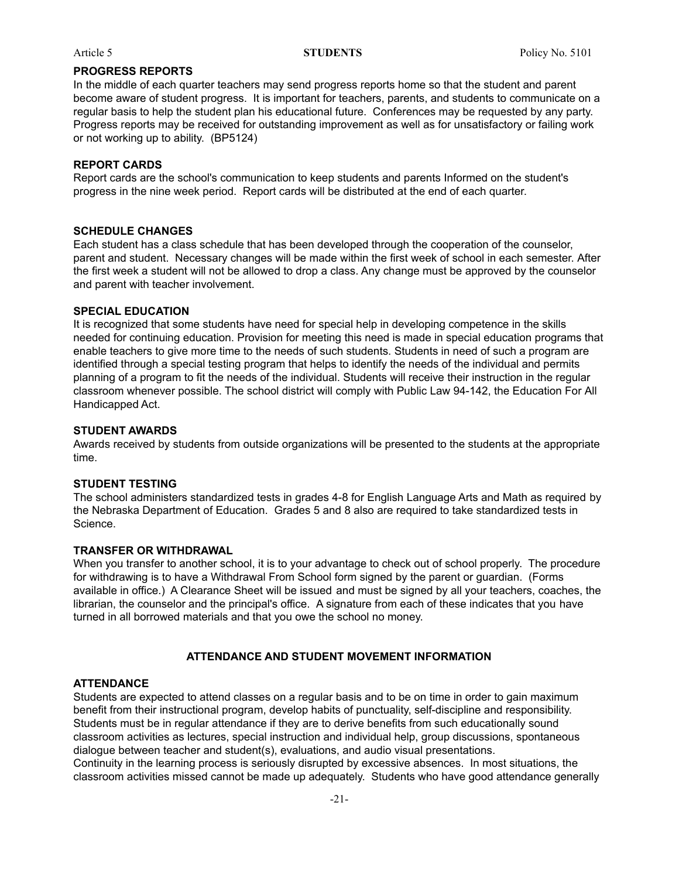#### **PROGRESS REPORTS**

In the middle of each quarter teachers may send progress reports home so that the student and parent become aware of student progress. It is important for teachers, parents, and students to communicate on a regular basis to help the student plan his educational future. Conferences may be requested by any party. Progress reports may be received for outstanding improvement as well as for unsatisfactory or failing work or not working up to ability. (BP5124)

#### **REPORT CARDS**

Report cards are the school's communication to keep students and parents Informed on the student's progress in the nine week period. Report cards will be distributed at the end of each quarter.

#### **SCHEDULE CHANGES**

Each student has a class schedule that has been developed through the cooperation of the counselor, parent and student. Necessary changes will be made within the first week of school in each semester. After the first week a student will not be allowed to drop a class. Any change must be approved by the counselor and parent with teacher involvement.

### **SPECIAL EDUCATION**

It is recognized that some students have need for special help in developing competence in the skills needed for continuing education. Provision for meeting this need is made in special education programs that enable teachers to give more time to the needs of such students. Students in need of such a program are identified through a special testing program that helps to identify the needs of the individual and permits planning of a program to fit the needs of the individual. Students will receive their instruction in the regular classroom whenever possible. The school district will comply with Public Law 94-142, the Education For All Handicapped Act.

#### **STUDENT AWARDS**

Awards received by students from outside organizations will be presented to the students at the appropriate time.

#### **STUDENT TESTING**

The school administers standardized tests in grades 4-8 for English Language Arts and Math as required by the Nebraska Department of Education. Grades 5 and 8 also are required to take standardized tests in Science.

#### **TRANSFER OR WITHDRAWAL**

When you transfer to another school, it is to your advantage to check out of school properly. The procedure for withdrawing is to have a Withdrawal From School form signed by the parent or guardian. (Forms available in office.) A Clearance Sheet will be issued and must be signed by all your teachers, coaches, the librarian, the counselor and the principal's office. A signature from each of these indicates that you have turned in all borrowed materials and that you owe the school no money.

#### **ATTENDANCE AND STUDENT MOVEMENT INFORMATION**

#### **ATTENDANCE**

Students are expected to attend classes on a regular basis and to be on time in order to gain maximum benefit from their instructional program, develop habits of punctuality, self-discipline and responsibility. Students must be in regular attendance if they are to derive benefits from such educationally sound classroom activities as lectures, special instruction and individual help, group discussions, spontaneous dialogue between teacher and student(s), evaluations, and audio visual presentations.

Continuity in the learning process is seriously disrupted by excessive absences. In most situations, the classroom activities missed cannot be made up adequately. Students who have good attendance generally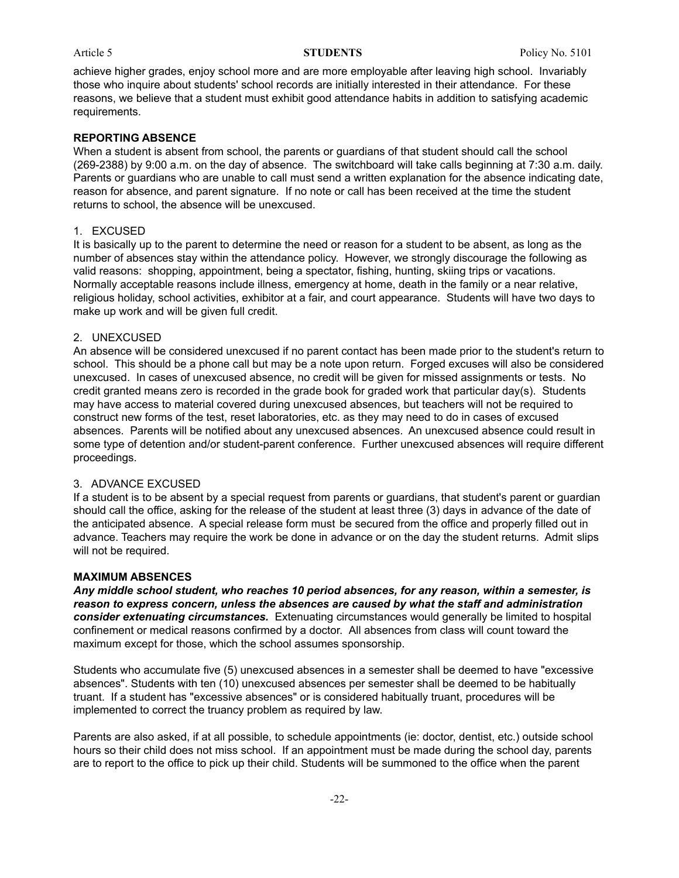achieve higher grades, enjoy school more and are more employable after leaving high school. Invariably those who inquire about students' school records are initially interested in their attendance. For these reasons, we believe that a student must exhibit good attendance habits in addition to satisfying academic requirements.

#### **REPORTING ABSENCE**

When a student is absent from school, the parents or guardians of that student should call the school (269-2388) by 9:00 a.m. on the day of absence. The switchboard will take calls beginning at 7:30 a.m. daily. Parents or guardians who are unable to call must send a written explanation for the absence indicating date, reason for absence, and parent signature. If no note or call has been received at the time the student returns to school, the absence will be unexcused.

#### 1. EXCUSED

It is basically up to the parent to determine the need or reason for a student to be absent, as long as the number of absences stay within the attendance policy. However, we strongly discourage the following as valid reasons: shopping, appointment, being a spectator, fishing, hunting, skiing trips or vacations. Normally acceptable reasons include illness, emergency at home, death in the family or a near relative, religious holiday, school activities, exhibitor at a fair, and court appearance. Students will have two days to make up work and will be given full credit.

#### 2. UNEXCUSED

An absence will be considered unexcused if no parent contact has been made prior to the student's return to school. This should be a phone call but may be a note upon return. Forged excuses will also be considered unexcused. In cases of unexcused absence, no credit will be given for missed assignments or tests. No credit granted means zero is recorded in the grade book for graded work that particular day(s). Students may have access to material covered during unexcused absences, but teachers will not be required to construct new forms of the test, reset laboratories, etc. as they may need to do in cases of excused absences. Parents will be notified about any unexcused absences. An unexcused absence could result in some type of detention and/or student-parent conference. Further unexcused absences will require different proceedings.

#### 3. ADVANCE EXCUSED

If a student is to be absent by a special request from parents or guardians, that student's parent or guardian should call the office, asking for the release of the student at least three (3) days in advance of the date of the anticipated absence. A special release form must be secured from the office and properly filled out in advance. Teachers may require the work be done in advance or on the day the student returns. Admit slips will not be required.

#### **MAXIMUM ABSENCES**

*Any middle school student, who reaches 10 period absences, for any reason, within a semester, is reason to express concern, unless the absences are caused by what the staff and administration consider extenuating circumstances.* Extenuating circumstances would generally be limited to hospital confinement or medical reasons confirmed by a doctor. All absences from class will count toward the maximum except for those, which the school assumes sponsorship.

Students who accumulate five (5) unexcused absences in a semester shall be deemed to have "excessive absences". Students with ten (10) unexcused absences per semester shall be deemed to be habitually truant. If a student has "excessive absences" or is considered habitually truant, procedures will be implemented to correct the truancy problem as required by law.

Parents are also asked, if at all possible, to schedule appointments (ie: doctor, dentist, etc.) outside school hours so their child does not miss school. If an appointment must be made during the school day, parents are to report to the office to pick up their child. Students will be summoned to the office when the parent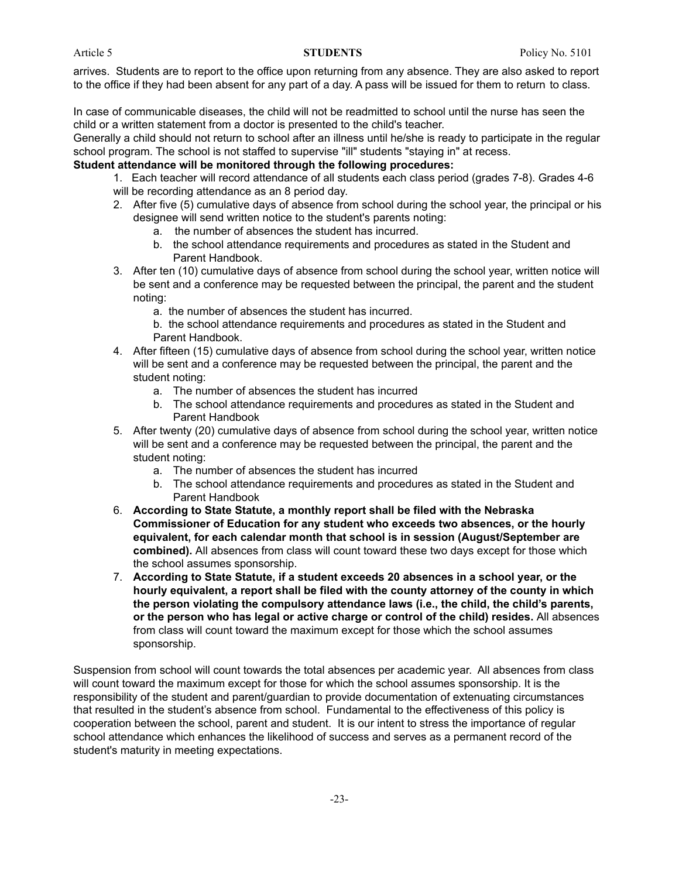arrives. Students are to report to the office upon returning from any absence. They are also asked to report to the office if they had been absent for any part of a day. A pass will be issued for them to return to class.

In case of communicable diseases, the child will not be readmitted to school until the nurse has seen the child or a written statement from a doctor is presented to the child's teacher.

Generally a child should not return to school after an illness until he/she is ready to participate in the regular school program. The school is not staffed to supervise "ill" students "staying in" at recess.

### **Student attendance will be monitored through the following procedures:**

- 1. Each teacher will record attendance of all students each class period (grades 7-8). Grades 4-6 will be recording attendance as an 8 period day.
- 2. After five (5) cumulative days of absence from school during the school year, the principal or his designee will send written notice to the student's parents noting:
	- a. the number of absences the student has incurred.
	- b. the school attendance requirements and procedures as stated in the Student and Parent Handbook.
- 3. After ten (10) cumulative days of absence from school during the school year, written notice will be sent and a conference may be requested between the principal, the parent and the student noting:
	- a. the number of absences the student has incurred.
	- b. the school attendance requirements and procedures as stated in the Student and Parent Handbook.
- 4. After fifteen (15) cumulative days of absence from school during the school year, written notice will be sent and a conference may be requested between the principal, the parent and the student noting:
	- a. The number of absences the student has incurred
	- b. The school attendance requirements and procedures as stated in the Student and Parent Handbook
- 5. After twenty (20) cumulative days of absence from school during the school year, written notice will be sent and a conference may be requested between the principal, the parent and the student noting:
	- a. The number of absences the student has incurred
	- b. The school attendance requirements and procedures as stated in the Student and Parent Handbook
- 6. **According to State Statute, a monthly report shall be filed with the Nebraska Commissioner of Education for any student who exceeds two absences, or the hourly equivalent, for each calendar month that school is in session (August/September are combined).** All absences from class will count toward these two days except for those which the school assumes sponsorship.
- 7. **According to State Statute, if a student exceeds 20 absences in a school year, or the hourly equivalent, a report shall be filed with the county attorney of the county in which the person violating the compulsory attendance laws (i.e., the child, the child's parents, or the person who has legal or active charge or control of the child) resides.** All absences from class will count toward the maximum except for those which the school assumes sponsorship.

Suspension from school will count towards the total absences per academic year. All absences from class will count toward the maximum except for those for which the school assumes sponsorship. It is the responsibility of the student and parent/guardian to provide documentation of extenuating circumstances that resulted in the student's absence from school. Fundamental to the effectiveness of this policy is cooperation between the school, parent and student. It is our intent to stress the importance of regular school attendance which enhances the likelihood of success and serves as a permanent record of the student's maturity in meeting expectations.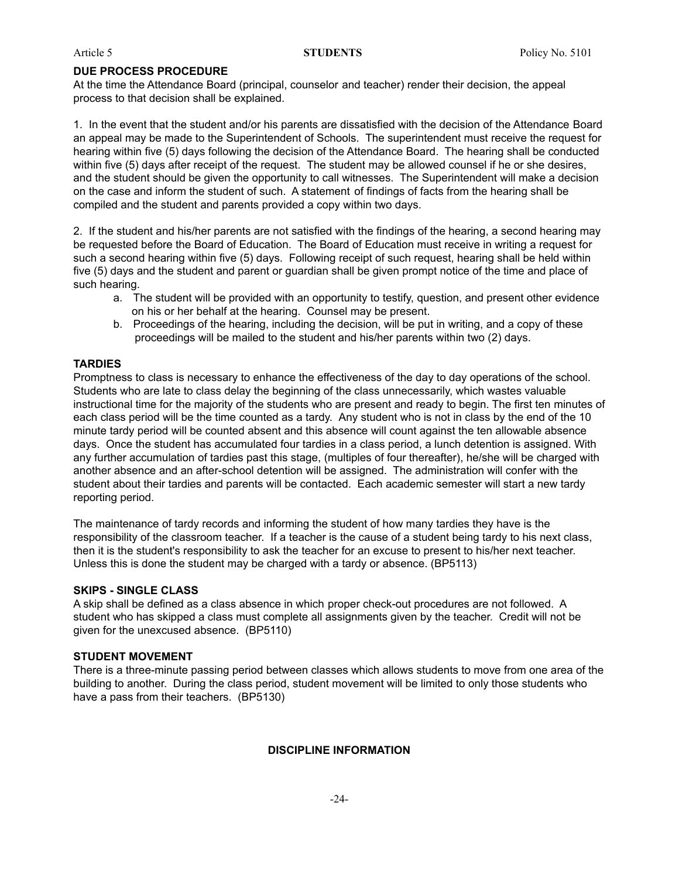#### **DUE PROCESS PROCEDURE**

At the time the Attendance Board (principal, counselor and teacher) render their decision, the appeal process to that decision shall be explained.

1. In the event that the student and/or his parents are dissatisfied with the decision of the Attendance Board an appeal may be made to the Superintendent of Schools. The superintendent must receive the request for hearing within five (5) days following the decision of the Attendance Board. The hearing shall be conducted within five (5) days after receipt of the request. The student may be allowed counsel if he or she desires, and the student should be given the opportunity to call witnesses. The Superintendent will make a decision on the case and inform the student of such. A statement of findings of facts from the hearing shall be compiled and the student and parents provided a copy within two days.

2. If the student and his/her parents are not satisfied with the findings of the hearing, a second hearing may be requested before the Board of Education. The Board of Education must receive in writing a request for such a second hearing within five (5) days. Following receipt of such request, hearing shall be held within five (5) days and the student and parent or guardian shall be given prompt notice of the time and place of such hearing.

- a. The student will be provided with an opportunity to testify, question, and present other evidence on his or her behalf at the hearing. Counsel may be present.
- b. Proceedings of the hearing, including the decision, will be put in writing, and a copy of these proceedings will be mailed to the student and his/her parents within two (2) days.

#### **TARDIES**

Promptness to class is necessary to enhance the effectiveness of the day to day operations of the school. Students who are late to class delay the beginning of the class unnecessarily, which wastes valuable instructional time for the majority of the students who are present and ready to begin. The first ten minutes of each class period will be the time counted as a tardy. Any student who is not in class by the end of the 10 minute tardy period will be counted absent and this absence will count against the ten allowable absence days. Once the student has accumulated four tardies in a class period, a lunch detention is assigned. With any further accumulation of tardies past this stage, (multiples of four thereafter), he/she will be charged with another absence and an after-school detention will be assigned. The administration will confer with the student about their tardies and parents will be contacted. Each academic semester will start a new tardy reporting period.

The maintenance of tardy records and informing the student of how many tardies they have is the responsibility of the classroom teacher. If a teacher is the cause of a student being tardy to his next class, then it is the student's responsibility to ask the teacher for an excuse to present to his/her next teacher. Unless this is done the student may be charged with a tardy or absence. (BP5113)

#### **SKIPS - SINGLE CLASS**

A skip shall be defined as a class absence in which proper check-out procedures are not followed. A student who has skipped a class must complete all assignments given by the teacher. Credit will not be given for the unexcused absence. (BP5110)

#### **STUDENT MOVEMENT**

There is a three-minute passing period between classes which allows students to move from one area of the building to another. During the class period, student movement will be limited to only those students who have a pass from their teachers. (BP5130)

#### **DISCIPLINE INFORMATION**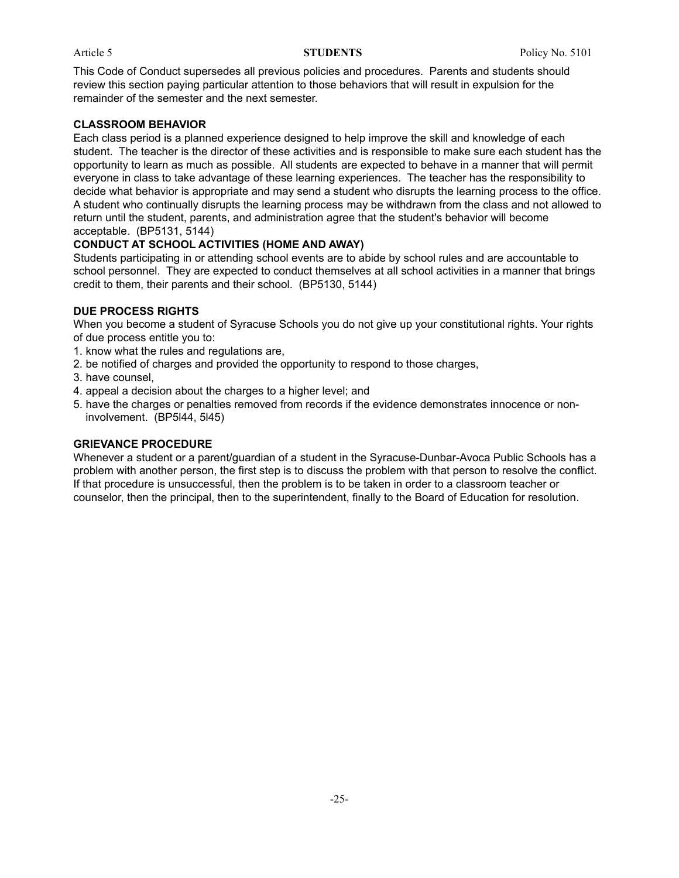This Code of Conduct supersedes all previous policies and procedures. Parents and students should review this section paying particular attention to those behaviors that will result in expulsion for the remainder of the semester and the next semester.

### **CLASSROOM BEHAVIOR**

Each class period is a planned experience designed to help improve the skill and knowledge of each student. The teacher is the director of these activities and is responsible to make sure each student has the opportunity to learn as much as possible. All students are expected to behave in a manner that will permit everyone in class to take advantage of these learning experiences. The teacher has the responsibility to decide what behavior is appropriate and may send a student who disrupts the learning process to the office. A student who continually disrupts the learning process may be withdrawn from the class and not allowed to return until the student, parents, and administration agree that the student's behavior will become acceptable. (BP5131, 5144)

### **CONDUCT AT SCHOOL ACTIVITIES (HOME AND AWAY)**

Students participating in or attending school events are to abide by school rules and are accountable to school personnel. They are expected to conduct themselves at all school activities in a manner that brings credit to them, their parents and their school. (BP5130, 5144)

### **DUE PROCESS RIGHTS**

When you become a student of Syracuse Schools you do not give up your constitutional rights. Your rights of due process entitle you to:

- 1. know what the rules and regulations are,
- 2. be notified of charges and provided the opportunity to respond to those charges,
- 3. have counsel,
- 4. appeal a decision about the charges to a higher level; and
- 5. have the charges or penalties removed from records if the evidence demonstrates innocence or noninvolvement. (BP5l44, 5l45)

### **GRIEVANCE PROCEDURE**

Whenever a student or a parent/guardian of a student in the Syracuse-Dunbar-Avoca Public Schools has a problem with another person, the first step is to discuss the problem with that person to resolve the conflict. If that procedure is unsuccessful, then the problem is to be taken in order to a classroom teacher or counselor, then the principal, then to the superintendent, finally to the Board of Education for resolution.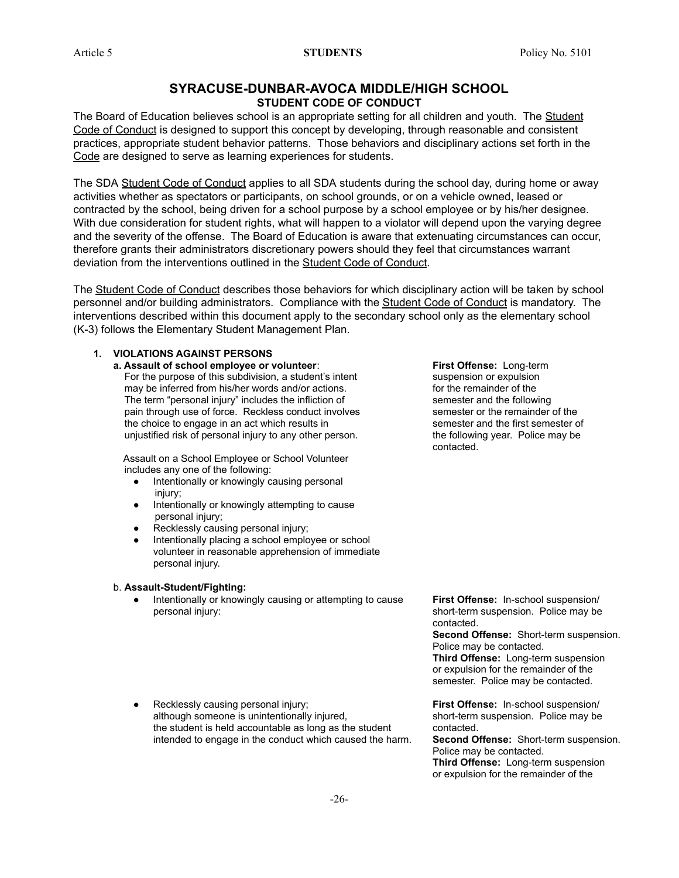### **SYRACUSE-DUNBAR-AVOCA MIDDLE/HIGH SCHOOL STUDENT CODE OF CONDUCT**

The Board of Education believes school is an appropriate setting for all children and youth. The Student Code of Conduct is designed to support this concept by developing, through reasonable and consistent practices, appropriate student behavior patterns. Those behaviors and disciplinary actions set forth in the Code are designed to serve as learning experiences for students.

The SDA Student Code of Conduct applies to all SDA students during the school day, during home or away activities whether as spectators or participants, on school grounds, or on a vehicle owned, leased or contracted by the school, being driven for a school purpose by a school employee or by his/her designee. With due consideration for student rights, what will happen to a violator will depend upon the varying degree and the severity of the offense. The Board of Education is aware that extenuating circumstances can occur, therefore grants their administrators discretionary powers should they feel that circumstances warrant deviation from the interventions outlined in the Student Code of Conduct.

The Student Code of Conduct describes those behaviors for which disciplinary action will be taken by school personnel and/or building administrators. Compliance with the **Student Code of Conduct** is mandatory. The interventions described within this document apply to the secondary school only as the elementary school (K-3) follows the Elementary Student Management Plan.

### **1. VIOLATIONS AGAINST PERSONS**

### **a. Assault of school employee or volunteer: <b>First Offense:** Long-term

For the purpose of this subdivision, a student's intent suspension or expulsion may be inferred from his/her words and/or actions. for the remainder of the The term "personal injury" includes the infliction of semester and the following pain through use of force. Reckless conduct involves semester or the remainder of the the choice to engage in an act which results in semester and the first semester of unjustified risk of personal injury to any other person. the following year. Police may be

Assault on a School Employee or School Volunteer includes any one of the following:

- **●** Intentionally or knowingly causing personal injury;
- **●** Intentionally or knowingly attempting to cause personal injury;
- **●** Recklessly causing personal injury;
- **●** Intentionally placing a school employee or school volunteer in reasonable apprehension of immediate personal injury.

#### b. **Assault-Student/Fighting:**

Intentionally or knowingly causing or attempting to cause **First Offense:** In-school suspension/ personal injury: short-term suspension. Police may be

contacted.

contacted.

**Second Offense:** Short-term suspension. Police may be contacted. **Third Offense:** Long-term suspension

or expulsion for the remainder of the semester. Police may be contacted.

**Prime A** Recklessly causing personal injury; **First Offense:** In-school suspension/ although someone is unintentionally injured, short-term suspension. Police may be the student is held accountable as long as the student contacted. intended to engage in the conduct which caused the harm. **Second Offense:** Short-term suspension.

Police may be contacted. **Third Offense:** Long-term suspension or expulsion for the remainder of the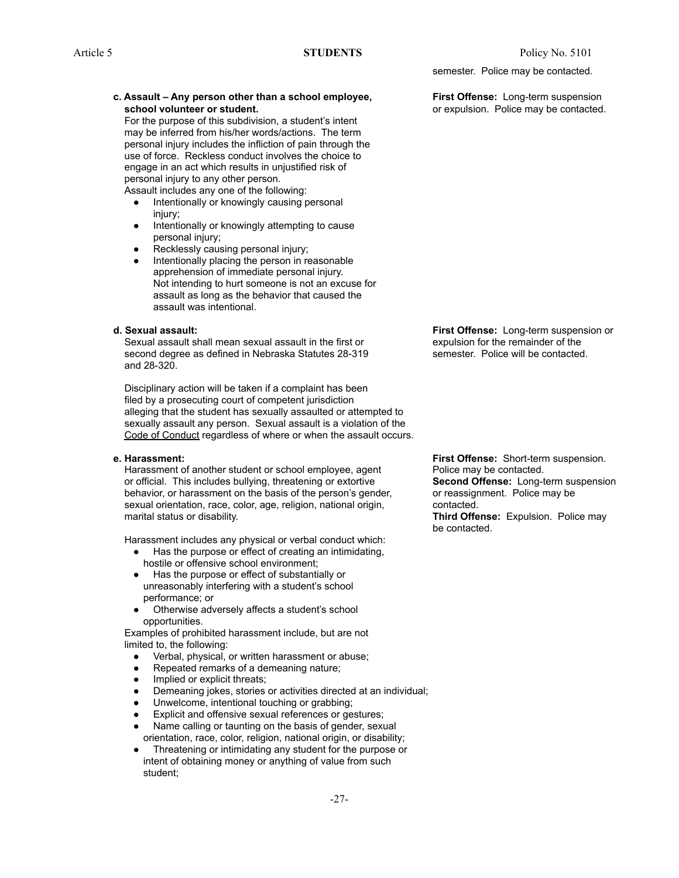#### **c. Assault – Any person other than a school employee, First Offense:** Long-term suspension **school volunteer or student. and in the contact of the contact of the contacted.** The contacted.

For the purpose of this subdivision, a student's intent may be inferred from his/her words/actions. The term personal injury includes the infliction of pain through the use of force. Reckless conduct involves the choice to engage in an act which results in unjustified risk of personal injury to any other person.

Assault includes any one of the following:

- **●** Intentionally or knowingly causing personal injury;
- **●** Intentionally or knowingly attempting to cause personal injury;
- Recklessly causing personal injury;
- Intentionally placing the person in reasonable apprehension of immediate personal injury. Not intending to hurt someone is not an excuse for assault as long as the behavior that caused the assault was intentional.

Sexual assault shall mean sexual assault in the first or expulsion for the remainder of the second degree as defined in Nebraska Statutes 28-319 semester. Police will be contacted. and 28-320.

Disciplinary action will be taken if a complaint has been filed by a prosecuting court of competent jurisdiction alleging that the student has sexually assaulted or attempted to sexually assault any person. Sexual assault is a violation of the Code of Conduct regardless of where or when the assault occurs.

Harassment of another student or school employee, agent Police may be contacted. or official. This includes bullying, threatening or extortive **Second Offense:** Long-term suspension behavior, or harassment on the basis of the person's gender, or reassignment. Police may be sexual orientation, race, color, age, religion, national origin, contacted. marital status or disability. **Third Offense:** Expulsion. Police may

Harassment includes any physical or verbal conduct which:

- **●** Has the purpose or effect of creating an intimidating, hostile or offensive school environment;
- **●** Has the purpose or effect of substantially or unreasonably interfering with a student's school performance; or
- Otherwise adversely affects a student's school opportunities.

Examples of prohibited harassment include, but are not limited to, the following:

- **●** Verbal, physical, or written harassment or abuse;
- Repeated remarks of a demeaning nature;
- Implied or explicit threats;
- **●** Demeaning jokes, stories or activities directed at an individual;
- Unwelcome, intentional touching or grabbing;
- Explicit and offensive sexual references or gestures;
- Name calling or taunting on the basis of gender, sexual orientation, race, color, religion, national origin, or disability;
- **●** Threatening or intimidating any student for the purpose or intent of obtaining money or anything of value from such student;

semester. Police may be contacted.

**d. Sexual assault: First Offense:** Long-term suspension or

**e. Harassment: First Offense:** Short-term suspension. be contacted.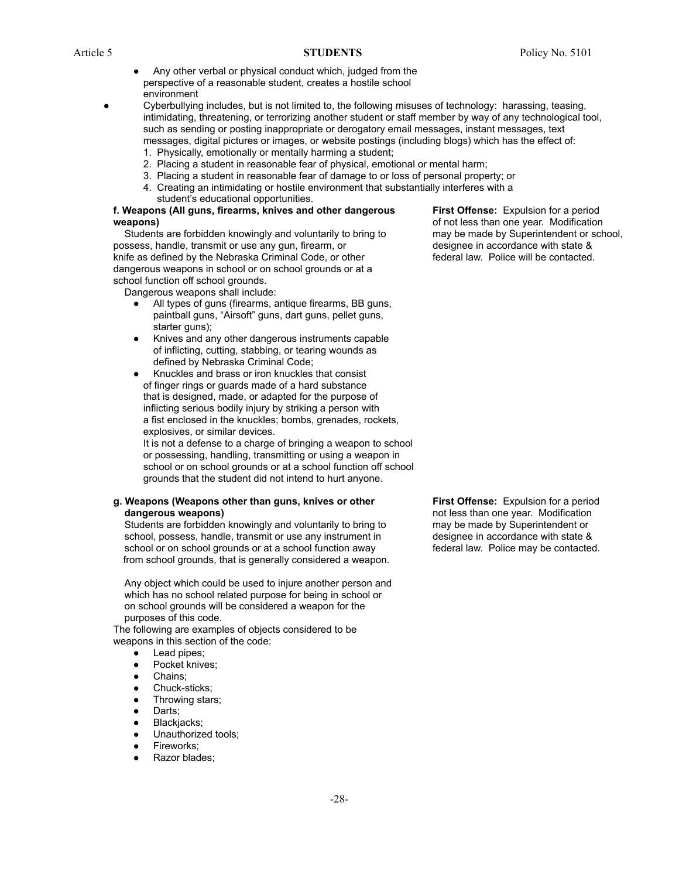- Any other verbal or physical conduct which, judged from the perspective of a reasonable student, creates a hostile school environment
- Cyberbullying includes, but is not limited to, the following misuses of technology: harassing, teasing, intimidating, threatening, or terrorizing another student or staff member by way of any technological tool, such as sending or posting inappropriate or derogatory email messages, instant messages, text messages, digital pictures or images, or website postings (including blogs) which has the effect of:
	- 1. Physically, emotionally or mentally harming a student;
	- 2. Placing a student in reasonable fear of physical, emotional or mental harm;
	- 3. Placing a student in reasonable fear of damage to or loss of personal property; or
	- 4. Creating an intimidating or hostile environment that substantially interferes with a student's educational opportunities.

#### **f. Weapons (All guns, firearms, knives and other dangerous First Offense:** Expulsion for a period **weapons) weapons of not less than one year. Modification**

Students are forbidden knowingly and voluntarily to bring to may be made by Superintendent or school, possess, handle, transmit or use any gun, firearm, or designee in accordance with state & knife as defined by the Nebraska Criminal Code, or other federal law. Police will be contacted. dangerous weapons in school or on school grounds or at a school function off school grounds.

Dangerous weapons shall include:

- **●** All types of guns (firearms, antique firearms, BB guns, paintball guns, "Airsoft" guns, dart guns, pellet guns, starter guns);
- **●** Knives and any other dangerous instruments capable of inflicting, cutting, stabbing, or tearing wounds as defined by Nebraska Criminal Code;
- **●** Knuckles and brass or iron knuckles that consist of finger rings or guards made of a hard substance that is designed, made, or adapted for the purpose of inflicting serious bodily injury by striking a person with a fist enclosed in the knuckles; bombs, grenades, rockets, explosives, or similar devices.

It is not a defense to a charge of bringing a weapon to school or possessing, handling, transmitting or using a weapon in school or on school grounds or at a school function off school grounds that the student did not intend to hurt anyone.

#### **g. Weapons (Weapons other than guns, knives or other First Offense:** Expulsion for a period **dangerous weapons) not less than one year.** Modification **density not** less than one year. Modification

Students are forbidden knowingly and voluntarily to bring to may be made by Superintendent or school, possess, handle, transmit or use any instrument in designee in accordance with state & school or on school grounds or at a school function away **federal law. Police may be contacted.** from school grounds, that is generally considered a weapon.

Any object which could be used to injure another person and which has no school related purpose for being in school or on school grounds will be considered a weapon for the purposes of this code.

The following are examples of objects considered to be weapons in this section of the code:

- **●** Lead pipes;
- Pocket knives;
- **●** Chains;
- **●** Chuck-sticks;
- **●** Throwing stars;
- Darts;
- **●** Blackjacks;
- Unauthorized tools;
- **●** Fireworks;
- Razor blades;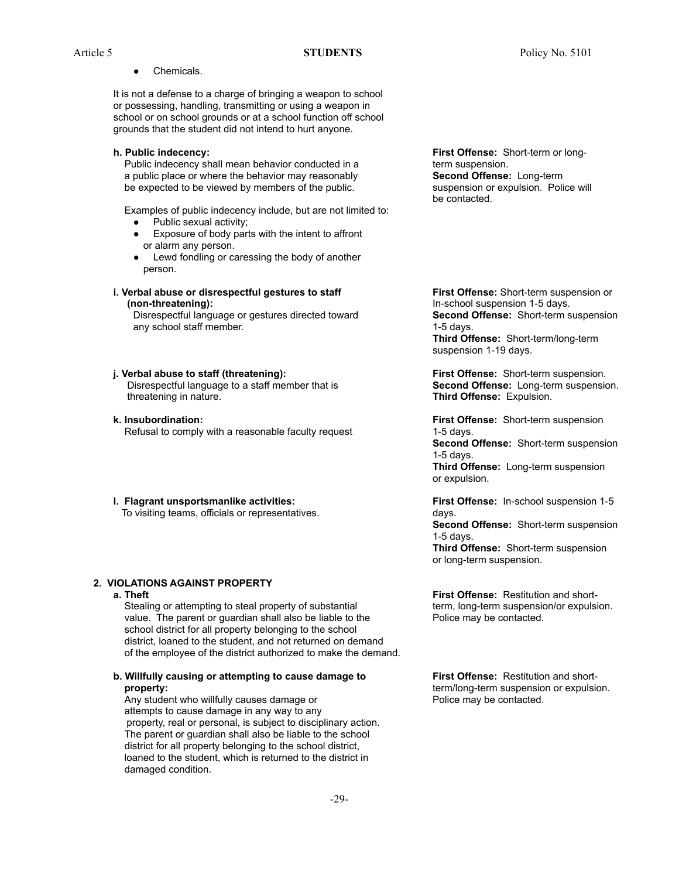- Article 5 **STUDENTS** Policy No. 5101
	- **●** Chemicals.

It is not a defense to a charge of bringing a weapon to school or possessing, handling, transmitting or using a weapon in school or on school grounds or at a school function off school grounds that the student did not intend to hurt anyone.

Public indecency shall mean behavior conducted in a term suspension. a public place or where the behavior may reasonably **Second Offense:** Long-term be expected to be viewed by members of the public. Suspension or expulsion. Police will

Examples of public indecency include, but are not limited to:

- **●** Public sexual activity;
- Exposure of body parts with the intent to affront or alarm any person.
- **●** Lewd fondling or caressing the body of another person.
- **i. Verbal abuse or disrespectful gestures to staff First Offense:** Short-term suspension or **(non-threatening):** In-school suspension 1-5 days.

any school staff member. The same state of the state of the state of the state of the state of the state of the state of the state of the state of the state of the state of the state of the state of the state of the state

#### **j. Verbal abuse to staff (threatening): First Offense:** Short-term suspension.

Disrespectful language to a staff member that is **Second Offense:** Long-term suspension. threatening in nature. **Third Offense:** Expulsion.

- **k. Insubordination: First Offense:** Short-term suspension Refusal to comply with a reasonable faculty request 1-5 days.
- **l. Flagrant unsportsmanlike activities: First Offense:** In-school suspension 1-5 To visiting teams, officials or representatives. days.

#### **2. VIOLATIONS AGAINST PROPERTY**

Stealing or attempting to steal property of substantial term, long-term suspension/or expulsion. value. The parent or guardian shall also be liable to the Police may be contacted. school district for all property belonging to the school district, loaned to the student, and not returned on demand of the employee of the district authorized to make the demand.

#### **b. Willfully causing or attempting to cause damage to First Offense:** Restitution and short**property: property: https://definition.org/information. term/long-term suspension or expulsion.**

Any student who willfully causes damage or **Police may be contacted.** attempts to cause damage in any way to any property, real or personal, is subject to disciplinary action. The parent or guardian shall also be liable to the school district for all property belonging to the school district, loaned to the student, which is returned to the district in damaged condition.

**h. Public indecency: First Offense:** Short-term or longbe contacted.

Disrespectful language or gestures directed toward **Second Offense:** Short-term suspension **Third Offense:** Short-term/long-term suspension 1-19 days.

**Second Offense:** Short-term suspension 1-5 days.

**Third Offense:** Long-term suspension or expulsion.

**Second Offense:** Short-term suspension 1-5 days. **Third Offense:** Short-term suspension or long-term suspension.

**a. Theft First Offense:** Restitution and short-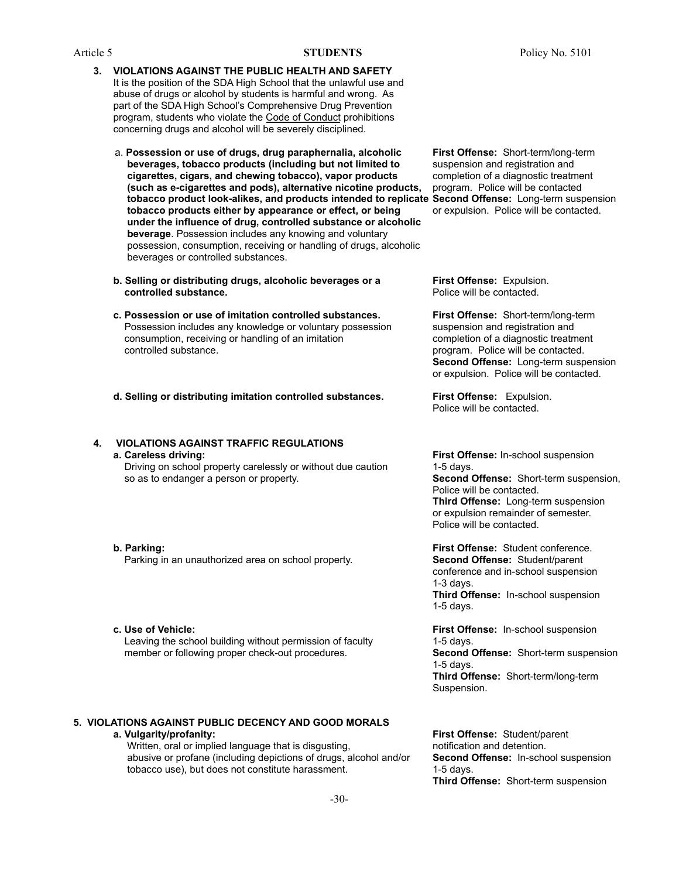- **3. VIOLATIONS AGAINST THE PUBLIC HEALTH AND SAFETY** It is the position of the SDA High School that the unlawful use and abuse of drugs or alcohol by students is harmful and wrong. As part of the SDA High School's Comprehensive Drug Prevention program, students who violate the Code of Conduct prohibitions concerning drugs and alcohol will be severely disciplined.
	- a. **Possession or use of drugs, drug paraphernalia, alcoholic First Offense:** Short-term/long-term **beverages, tobacco products (including but not limited to** suspension and registration and **cigarettes, cigars, and chewing tobacco), vapor products** completion of a diagnostic treatment **(such as e-cigarettes and pods), alternative nicotine products,** program. Police will be contacted **tobacco product look-alikes, and products intended to replicate Second Offense:** Long-term suspension **tobacco products either by appearance or effect, or being** or expulsion. Police will be contacted. **under the influence of drug, controlled substance or alcoholic beverage**. Possession includes any knowing and voluntary possession, consumption, receiving or handling of drugs, alcoholic beverages or controlled substances.
	- **b. Selling or distributing drugs, alcoholic beverages or a First Offense:** Expulsion. **controlled substance.** The police will be contacted.
	- **c. Possession or use of imitation controlled substances. First Offense:** Short-term/long-term Possession includes any knowledge or voluntary possession suspension and registration and consumption, receiving or handling of an imitation completion of a diagnostic treatment controlled substance. program. Police will be contacted.
	- **d. Selling or distributing imitation controlled substances. First Offense:** Expulsion.

**4. VIOLATIONS AGAINST TRAFFIC REGULATIONS a. Careless driving: First Offense:** In-school suspension

Driving on school property carelessly or without due caution 1-5 days. so as to endanger a person or property. **Second Offense:** Short-term suspension,

Parking in an unauthorized area on school property. **Second Offense:** Student/parent

**c. Use of Vehicle: First Offense:** In-school suspension Leaving the school building without permission of faculty 1-5 days. member or following proper check-out procedures. **Second Offense:** Short-term suspension

#### **5. VIOLATIONS AGAINST PUBLIC DECENCY AND GOOD MORALS a. Vulgarity/profanity: First Offense:** Student/parent

Written, oral or implied language that is disgusting, mean interval included and detention. abusive or profane (including depictions of drugs, alcohol and/or **Second Offense:** In-school suspension tobacco use), but does not constitute harassment. 1-5 days.

**Second Offense:** Long-term suspension or expulsion. Police will be contacted.

Police will be contacted.

Police will be contacted. **Third Offense:** Long-term suspension or expulsion remainder of semester. Police will be contacted.

**b. Parking: First Offense:** Student conference. conference and in-school suspension 1-3 days. **Third Offense:** In-school suspension 1-5 days.

> 1-5 days. **Third Offense:** Short-term/long-term Suspension.

**Third Offense:** Short-term suspension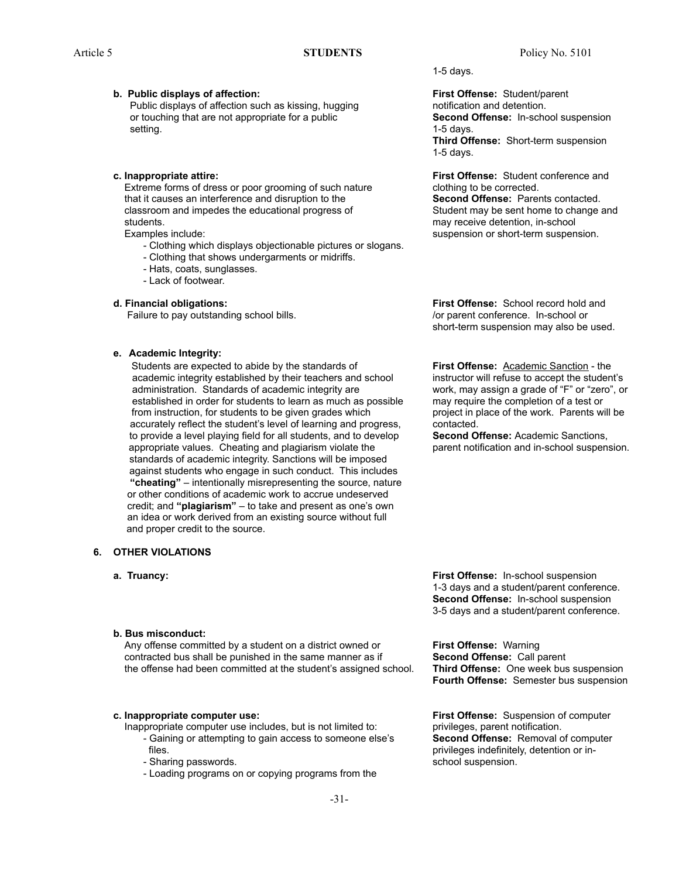#### **b. Public displays of affection: First Offense:** Student/parent

Public displays of affection such as kissing, hugging notification and detention. or touching that are not appropriate for a public **Second Offense:** In-school suspension setting. 1-5 days.

Extreme forms of dress or poor grooming of such nature clothing to be corrected. that it causes an interference and disruption to the **Second Offense:** Parents contacted. classroom and impedes the educational progress of Student may be sent home to change and students. The students of the students of the students of the students of the students of the students of the students of the students of the students of the students of the students of the students of the students of the

- Clothing which displays objectionable pictures or slogans.

- Clothing that shows undergarments or midriffs.
- Hats, coats, sunglasses.
- Lack of footwear.

Failure to pay outstanding school bills.  $\blacksquare$  /or parent conference. In-school or

#### **e. Academic Integrity:**

Students are expected to abide by the standards of **First Offense:** Academic Sanction - the academic integrity established by their teachers and school instructor will refuse to accept the student's administration. Standards of academic integrity are work, may assign a grade of "F" or "zero", or established in order for students to learn as much as possible may require the completion of a test or from instruction, for students to be given grades which project in place of the work. Parents will be accurately reflect the student's level of learning and progress, contacted. to provide a level playing field for all students, and to develop **Second Offense:** Academic Sanctions, appropriate values. Cheating and plagiarism violate the parent notification and in-school suspension. standards of academic integrity. Sanctions will be imposed against students who engage in such conduct. This includes **"cheating"** – intentionally misrepresenting the source, nature or other conditions of academic work to accrue undeserved credit; and **"plagiarism"** – to take and present as one's own an idea or work derived from an existing source without full and proper credit to the source.

#### **6. OTHER VIOLATIONS**

- 
- **b. Bus misconduct:**

Any offense committed by a student on a district owned or **First Offense:** Warning contracted bus shall be punished in the same manner as if **Second Offense:** Call parent the offense had been committed at the student's assigned school. **Third Offense:** One week bus suspension

- Inappropriate computer use includes, but is not limited to: privileges, parent notification. - Gaining or attempting to gain access to someone else's **Second Offense:** Removal of computer files. **privileges indefinitely, detention or in-**  $\mathbf{p}$  privileges indefinitely, detention or in-
	-
	- Loading programs on or copying programs from the

1-5 days.

**Third Offense:** Short-term suspension

1-5 days.

**c. Inappropriate attire: First Offense:** Student conference and

Examples include: suspension or short-term suspension.

**d. Financial obligations: First Offense:** School record hold and short-term suspension may also be used.

**a. Truancy: First Offense:** In-school suspension 1-3 days and a student/parent conference. **Second Offense:** In-school suspension 3-5 days and a student/parent conference.

**Fourth Offense:** Semester bus suspension

**c. Inappropriate computer use: First Offense:** Suspension of computer - Sharing passwords. The school suspension.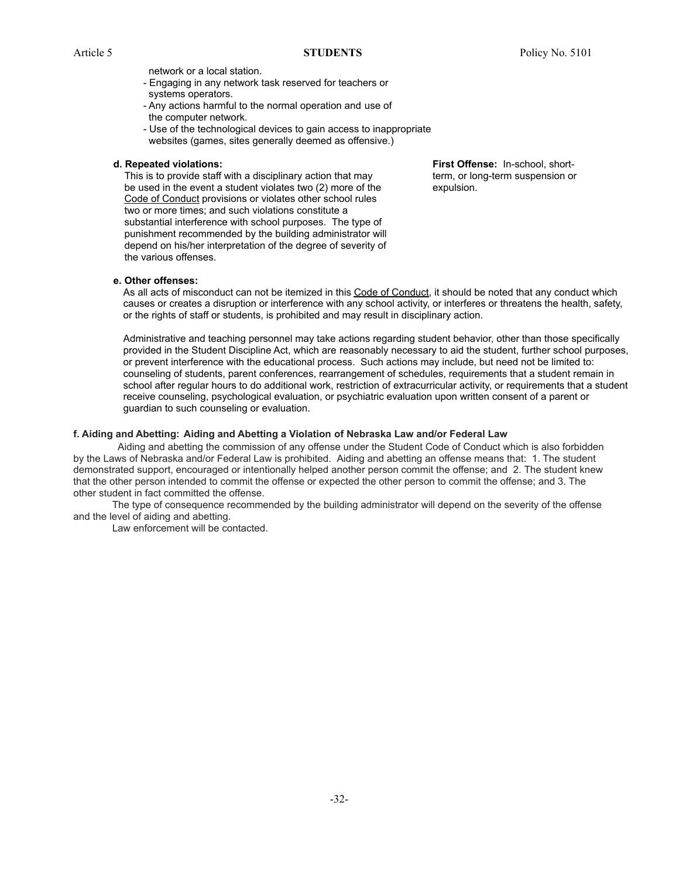network or a local station.

- Engaging in any network task reserved for teachers or systems operators.
- Any actions harmful to the normal operation and use of the computer network.
- Use of the technological devices to gain access to inappropriate websites (games, sites generally deemed as offensive.)

This is to provide staff with a disciplinary action that may term, or long-term suspension or be used in the event a student violates two (2) more of the expulsion. Code of Conduct provisions or violates other school rules two or more times; and such violations constitute a substantial interference with school purposes. The type of punishment recommended by the building administrator will depend on his/her interpretation of the degree of severity of the various offenses.

**d. Repeated violations: First Offense:** In-school, short-

**e. Other offenses:**

As all acts of misconduct can not be itemized in this Code of Conduct, it should be noted that any conduct which causes or creates a disruption or interference with any school activity, or interferes or threatens the health, safety, or the rights of staff or students, is prohibited and may result in disciplinary action.

Administrative and teaching personnel may take actions regarding student behavior, other than those specifically provided in the Student Discipline Act, which are reasonably necessary to aid the student, further school purposes, or prevent interference with the educational process. Such actions may include, but need not be limited to: counseling of students, parent conferences, rearrangement of schedules, requirements that a student remain in school after regular hours to do additional work, restriction of extracurricular activity, or requirements that a student receive counseling, psychological evaluation, or psychiatric evaluation upon written consent of a parent or guardian to such counseling or evaluation.

#### **f. Aiding and Abetting: Aiding and Abetting a Violation of Nebraska Law and/or Federal Law**

Aiding and abetting the commission of any offense under the Student Code of Conduct which is also forbidden by the Laws of Nebraska and/or Federal Law is prohibited. Aiding and abetting an offense means that: 1. The student demonstrated support, encouraged or intentionally helped another person commit the offense; and 2. The student knew that the other person intended to commit the offense or expected the other person to commit the offense; and 3. The other student in fact committed the offense.

The type of consequence recommended by the building administrator will depend on the severity of the offense and the level of aiding and abetting.

Law enforcement will be contacted.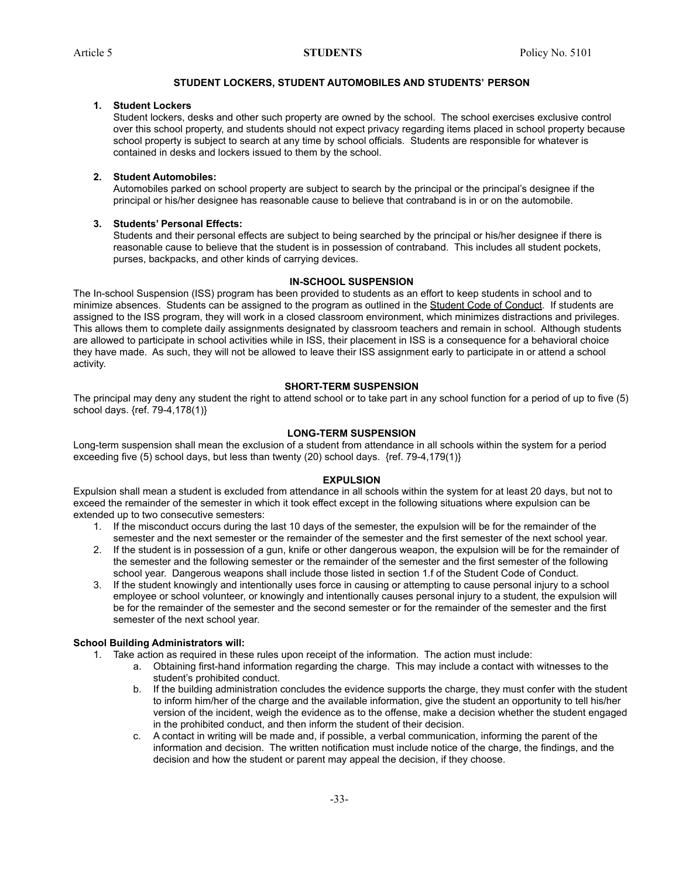#### **STUDENT LOCKERS, STUDENT AUTOMOBILES AND STUDENTS' PERSON**

#### **1. Student Lockers**

Student lockers, desks and other such property are owned by the school. The school exercises exclusive control over this school property, and students should not expect privacy regarding items placed in school property because school property is subject to search at any time by school officials. Students are responsible for whatever is contained in desks and lockers issued to them by the school.

#### **2. Student Automobiles:**

Automobiles parked on school property are subject to search by the principal or the principal's designee if the principal or his/her designee has reasonable cause to believe that contraband is in or on the automobile.

#### **3. Students' Personal Effects:**

Students and their personal effects are subject to being searched by the principal or his/her designee if there is reasonable cause to believe that the student is in possession of contraband. This includes all student pockets, purses, backpacks, and other kinds of carrying devices.

#### **IN-SCHOOL SUSPENSION**

The In-school Suspension (ISS) program has been provided to students as an effort to keep students in school and to minimize absences. Students can be assigned to the program as outlined in the Student Code of Conduct. If students are assigned to the ISS program, they will work in a closed classroom environment, which minimizes distractions and privileges. This allows them to complete daily assignments designated by classroom teachers and remain in school. Although students are allowed to participate in school activities while in ISS, their placement in ISS is a consequence for a behavioral choice they have made. As such, they will not be allowed to leave their ISS assignment early to participate in or attend a school activity.

#### **SHORT-TERM SUSPENSION**

The principal may deny any student the right to attend school or to take part in any school function for a period of up to five (5) school days. {ref. 79-4,178(1)}

#### **LONG-TERM SUSPENSION**

Long-term suspension shall mean the exclusion of a student from attendance in all schools within the system for a period exceeding five (5) school days, but less than twenty (20) school days. {ref. 79-4,179(1)}

#### **EXPULSION**

Expulsion shall mean a student is excluded from attendance in all schools within the system for at least 20 days, but not to exceed the remainder of the semester in which it took effect except in the following situations where expulsion can be extended up to two consecutive semesters:

- 1. If the misconduct occurs during the last 10 days of the semester, the expulsion will be for the remainder of the semester and the next semester or the remainder of the semester and the first semester of the next school year.
- 2. If the student is in possession of a gun, knife or other dangerous weapon, the expulsion will be for the remainder of the semester and the following semester or the remainder of the semester and the first semester of the following school year. Dangerous weapons shall include those listed in section 1.f of the Student Code of Conduct.
- 3. If the student knowingly and intentionally uses force in causing or attempting to cause personal injury to a school employee or school volunteer, or knowingly and intentionally causes personal injury to a student, the expulsion will be for the remainder of the semester and the second semester or for the remainder of the semester and the first semester of the next school year.

#### **School Building Administrators will:**

1. Take action as required in these rules upon receipt of the information. The action must include:

- a. Obtaining first-hand information regarding the charge. This may include a contact with witnesses to the student's prohibited conduct.
- b. If the building administration concludes the evidence supports the charge, they must confer with the student to inform him/her of the charge and the available information, give the student an opportunity to tell his/her version of the incident, weigh the evidence as to the offense, make a decision whether the student engaged in the prohibited conduct, and then inform the student of their decision.
- c. A contact in writing will be made and, if possible, a verbal communication, informing the parent of the information and decision. The written notification must include notice of the charge, the findings, and the decision and how the student or parent may appeal the decision, if they choose.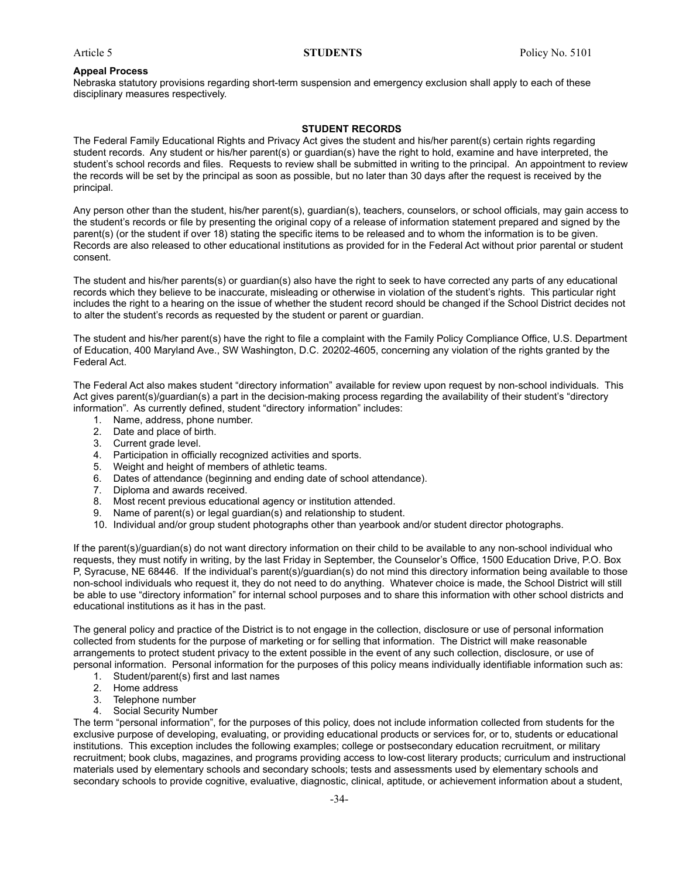#### **Appeal Process**

Nebraska statutory provisions regarding short-term suspension and emergency exclusion shall apply to each of these disciplinary measures respectively.

#### **STUDENT RECORDS**

The Federal Family Educational Rights and Privacy Act gives the student and his/her parent(s) certain rights regarding student records. Any student or his/her parent(s) or guardian(s) have the right to hold, examine and have interpreted, the student's school records and files. Requests to review shall be submitted in writing to the principal. An appointment to review the records will be set by the principal as soon as possible, but no later than 30 days after the request is received by the principal.

Any person other than the student, his/her parent(s), guardian(s), teachers, counselors, or school officials, may gain access to the student's records or file by presenting the original copy of a release of information statement prepared and signed by the parent(s) (or the student if over 18) stating the specific items to be released and to whom the information is to be given. Records are also released to other educational institutions as provided for in the Federal Act without prior parental or student consent.

The student and his/her parents(s) or guardian(s) also have the right to seek to have corrected any parts of any educational records which they believe to be inaccurate, misleading or otherwise in violation of the student's rights. This particular right includes the right to a hearing on the issue of whether the student record should be changed if the School District decides not to alter the student's records as requested by the student or parent or guardian.

The student and his/her parent(s) have the right to file a complaint with the Family Policy Compliance Office, U.S. Department of Education, 400 Maryland Ave., SW Washington, D.C. 20202-4605, concerning any violation of the rights granted by the Federal Act.

The Federal Act also makes student "directory information" available for review upon request by non-school individuals. This Act gives parent(s)/guardian(s) a part in the decision-making process regarding the availability of their student's "directory information". As currently defined, student "directory information" includes:

- 1. Name, address, phone number.
- 2. Date and place of birth.
- 3. Current grade level.
- 4. Participation in officially recognized activities and sports.
- 5. Weight and height of members of athletic teams.
- 6. Dates of attendance (beginning and ending date of school attendance).
- 7. Diploma and awards received.
- 8. Most recent previous educational agency or institution attended.
- 9. Name of parent(s) or legal guardian(s) and relationship to student.
- 10. Individual and/or group student photographs other than yearbook and/or student director photographs.

If the parent(s)/guardian(s) do not want directory information on their child to be available to any non-school individual who requests, they must notify in writing, by the last Friday in September, the Counselor's Office, 1500 Education Drive, P.O. Box P, Syracuse, NE 68446. If the individual's parent(s)/guardian(s) do not mind this directory information being available to those non-school individuals who request it, they do not need to do anything. Whatever choice is made, the School District will still be able to use "directory information" for internal school purposes and to share this information with other school districts and educational institutions as it has in the past.

The general policy and practice of the District is to not engage in the collection, disclosure or use of personal information collected from students for the purpose of marketing or for selling that information. The District will make reasonable arrangements to protect student privacy to the extent possible in the event of any such collection, disclosure, or use of personal information. Personal information for the purposes of this policy means individually identifiable information such as:

- 1. Student/parent(s) first and last names
- 2. Home address
- 3. Telephone number
- 4. Social Security Number

The term "personal information", for the purposes of this policy, does not include information collected from students for the exclusive purpose of developing, evaluating, or providing educational products or services for, or to, students or educational institutions. This exception includes the following examples; college or postsecondary education recruitment, or military recruitment; book clubs, magazines, and programs providing access to low-cost literary products; curriculum and instructional materials used by elementary schools and secondary schools; tests and assessments used by elementary schools and secondary schools to provide cognitive, evaluative, diagnostic, clinical, aptitude, or achievement information about a student,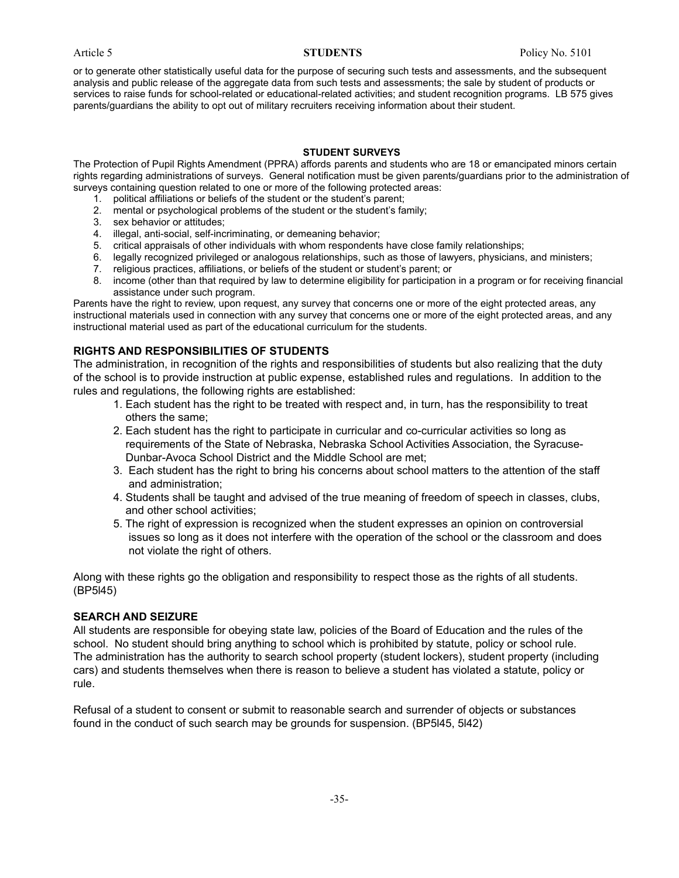or to generate other statistically useful data for the purpose of securing such tests and assessments, and the subsequent analysis and public release of the aggregate data from such tests and assessments; the sale by student of products or services to raise funds for school-related or educational-related activities; and student recognition programs. LB 575 gives parents/guardians the ability to opt out of military recruiters receiving information about their student.

#### **STUDENT SURVEYS**

The Protection of Pupil Rights Amendment (PPRA) affords parents and students who are 18 or emancipated minors certain rights regarding administrations of surveys. General notification must be given parents/guardians prior to the administration of surveys containing question related to one or more of the following protected areas:

- 1. political affiliations or beliefs of the student or the student's parent;
- 2. mental or psychological problems of the student or the student's family;
- 3. sex behavior or attitudes;
- 4. illegal, anti-social, self-incriminating, or demeaning behavior;
- 5. critical appraisals of other individuals with whom respondents have close family relationships;
- 6. legally recognized privileged or analogous relationships, such as those of lawyers, physicians, and ministers;
- 7. religious practices, affiliations, or beliefs of the student or student's parent; or
- 8. income (other than that required by law to determine eligibility for participation in a program or for receiving financial assistance under such program.

Parents have the right to review, upon request, any survey that concerns one or more of the eight protected areas, any instructional materials used in connection with any survey that concerns one or more of the eight protected areas, and any instructional material used as part of the educational curriculum for the students.

### **RIGHTS AND RESPONSIBILITIES OF STUDENTS**

The administration, in recognition of the rights and responsibilities of students but also realizing that the duty of the school is to provide instruction at public expense, established rules and regulations. In addition to the rules and regulations, the following rights are established:

- 1. Each student has the right to be treated with respect and, in turn, has the responsibility to treat others the same;
- 2. Each student has the right to participate in curricular and co-curricular activities so long as requirements of the State of Nebraska, Nebraska School Activities Association, the Syracuse-Dunbar-Avoca School District and the Middle School are met;
- 3. Each student has the right to bring his concerns about school matters to the attention of the staff and administration;
- 4. Students shall be taught and advised of the true meaning of freedom of speech in classes, clubs, and other school activities;
- 5. The right of expression is recognized when the student expresses an opinion on controversial issues so long as it does not interfere with the operation of the school or the classroom and does not violate the right of others.

Along with these rights go the obligation and responsibility to respect those as the rights of all students. (BP5l45)

#### **SEARCH AND SEIZURE**

All students are responsible for obeying state law, policies of the Board of Education and the rules of the school. No student should bring anything to school which is prohibited by statute, policy or school rule. The administration has the authority to search school property (student lockers), student property (including cars) and students themselves when there is reason to believe a student has violated a statute, policy or rule.

Refusal of a student to consent or submit to reasonable search and surrender of objects or substances found in the conduct of such search may be grounds for suspension. (BP5l45, 5l42)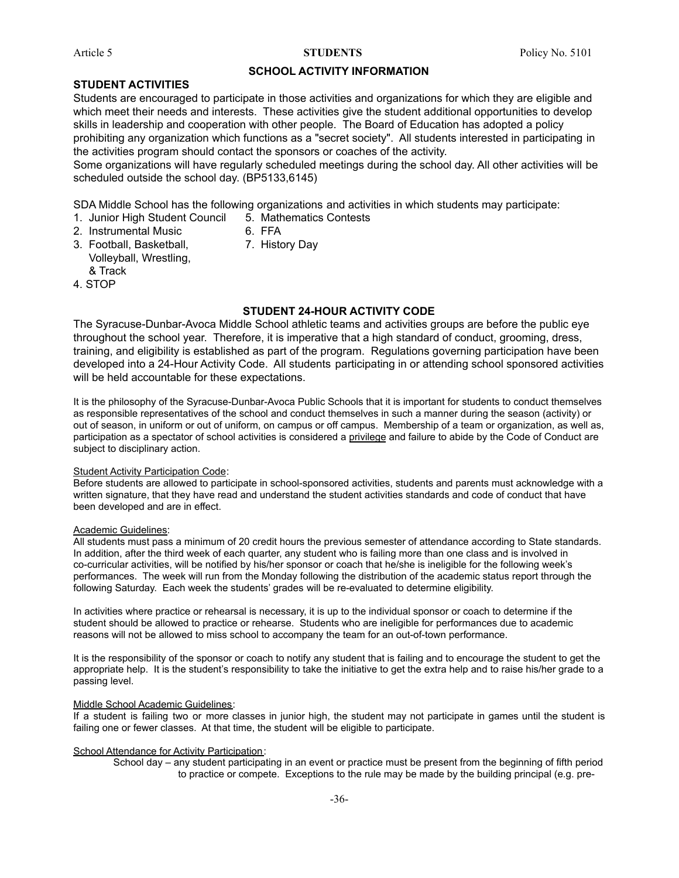#### **SCHOOL ACTIVITY INFORMATION**

#### **STUDENT ACTIVITIES**

Students are encouraged to participate in those activities and organizations for which they are eligible and which meet their needs and interests. These activities give the student additional opportunities to develop skills in leadership and cooperation with other people. The Board of Education has adopted a policy prohibiting any organization which functions as a "secret society". All students interested in participating in the activities program should contact the sponsors or coaches of the activity.

Some organizations will have regularly scheduled meetings during the school day. All other activities will be scheduled outside the school day. (BP5133,6145)

SDA Middle School has the following organizations and activities in which students may participate:

- 1. Junior High Student Council 5. Mathematics Contests
- 2. Instrumental Music 6. FFA
	-
- 3. Football, Basketball, 7. History Day Volleyball, Wrestling, & Track
- 4. STOP

### **STUDENT 24-HOUR ACTIVITY CODE**

The Syracuse-Dunbar-Avoca Middle School athletic teams and activities groups are before the public eye throughout the school year. Therefore, it is imperative that a high standard of conduct, grooming, dress, training, and eligibility is established as part of the program. Regulations governing participation have been developed into a 24-Hour Activity Code. All students participating in or attending school sponsored activities will be held accountable for these expectations.

It is the philosophy of the Syracuse-Dunbar-Avoca Public Schools that it is important for students to conduct themselves as responsible representatives of the school and conduct themselves in such a manner during the season (activity) or out of season, in uniform or out of uniform, on campus or off campus. Membership of a team or organization, as well as, participation as a spectator of school activities is considered a privilege and failure to abide by the Code of Conduct are subject to disciplinary action.

#### Student Activity Participation Code:

Before students are allowed to participate in school-sponsored activities, students and parents must acknowledge with a written signature, that they have read and understand the student activities standards and code of conduct that have been developed and are in effect.

#### Academic Guidelines:

All students must pass a minimum of 20 credit hours the previous semester of attendance according to State standards. In addition, after the third week of each quarter, any student who is failing more than one class and is involved in co-curricular activities, will be notified by his/her sponsor or coach that he/she is ineligible for the following week's performances. The week will run from the Monday following the distribution of the academic status report through the following Saturday. Each week the students' grades will be re-evaluated to determine eligibility.

In activities where practice or rehearsal is necessary, it is up to the individual sponsor or coach to determine if the student should be allowed to practice or rehearse. Students who are ineligible for performances due to academic reasons will not be allowed to miss school to accompany the team for an out-of-town performance.

It is the responsibility of the sponsor or coach to notify any student that is failing and to encourage the student to get the appropriate help. It is the student's responsibility to take the initiative to get the extra help and to raise his/her grade to a passing level.

#### Middle School Academic Guidelines:

If a student is failing two or more classes in junior high, the student may not participate in games until the student is failing one or fewer classes. At that time, the student will be eligible to participate.

#### School Attendance for Activity Participation:

School day – any student participating in an event or practice must be present from the beginning of fifth period to practice or compete. Exceptions to the rule may be made by the building principal (e.g. pre-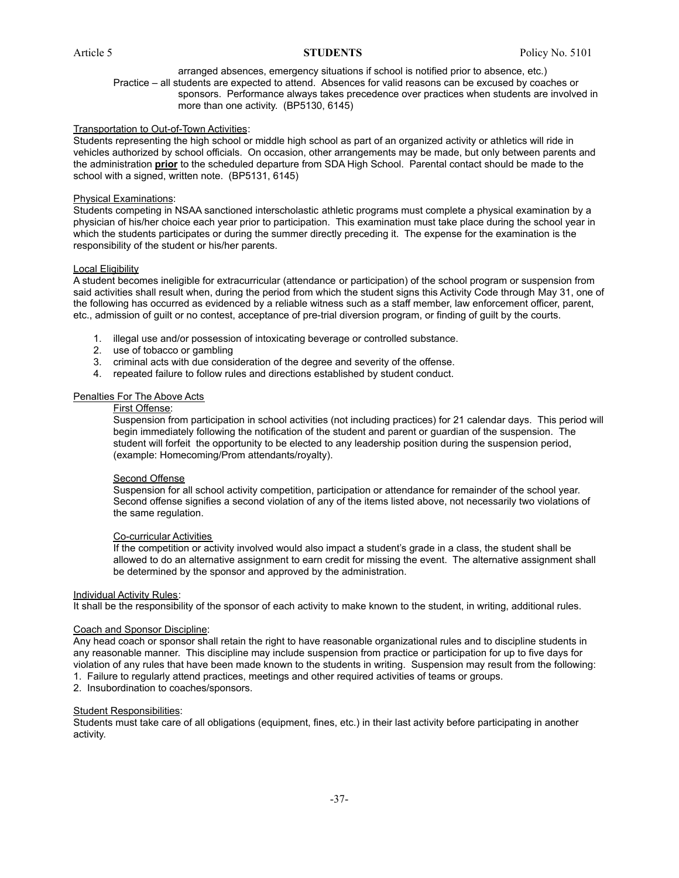#### arranged absences, emergency situations if school is notified prior to absence, etc.) Practice – all students are expected to attend. Absences for valid reasons can be excused by coaches or sponsors. Performance always takes precedence over practices when students are involved in more than one activity. (BP5130, 6145)

#### Transportation to Out-of-Town Activities:

Students representing the high school or middle high school as part of an organized activity or athletics will ride in vehicles authorized by school officials. On occasion, other arrangements may be made, but only between parents and the administration **prior** to the scheduled departure from SDA High School. Parental contact should be made to the school with a signed, written note. (BP5131, 6145)

#### Physical Examinations:

Students competing in NSAA sanctioned interscholastic athletic programs must complete a physical examination by a physician of his/her choice each year prior to participation. This examination must take place during the school year in which the students participates or during the summer directly preceding it. The expense for the examination is the responsibility of the student or his/her parents.

#### Local Eligibility

A student becomes ineligible for extracurricular (attendance or participation) of the school program or suspension from said activities shall result when, during the period from which the student signs this Activity Code through May 31, one of the following has occurred as evidenced by a reliable witness such as a staff member, law enforcement officer, parent, etc., admission of guilt or no contest, acceptance of pre-trial diversion program, or finding of guilt by the courts.

- 1. illegal use and/or possession of intoxicating beverage or controlled substance.
- 2. use of tobacco or gambling
- 3. criminal acts with due consideration of the degree and severity of the offense.
- 4. repeated failure to follow rules and directions established by student conduct.

#### Penalties For The Above Acts

#### First Offense:

Suspension from participation in school activities (not including practices) for 21 calendar days. This period will begin immediately following the notification of the student and parent or guardian of the suspension. The student will forfeit the opportunity to be elected to any leadership position during the suspension period, (example: Homecoming/Prom attendants/royalty).

#### Second Offense

Suspension for all school activity competition, participation or attendance for remainder of the school year. Second offense signifies a second violation of any of the items listed above, not necessarily two violations of the same regulation.

#### Co-curricular Activities

If the competition or activity involved would also impact a student's grade in a class, the student shall be allowed to do an alternative assignment to earn credit for missing the event. The alternative assignment shall be determined by the sponsor and approved by the administration.

#### **Individual Activity Rules:**

It shall be the responsibility of the sponsor of each activity to make known to the student, in writing, additional rules.

#### Coach and Sponsor Discipline:

Any head coach or sponsor shall retain the right to have reasonable organizational rules and to discipline students in any reasonable manner. This discipline may include suspension from practice or participation for up to five days for violation of any rules that have been made known to the students in writing. Suspension may result from the following: 1. Failure to regularly attend practices, meetings and other required activities of teams or groups.

2. Insubordination to coaches/sponsors.

#### Student Responsibilities:

Students must take care of all obligations (equipment, fines, etc.) in their last activity before participating in another activity.